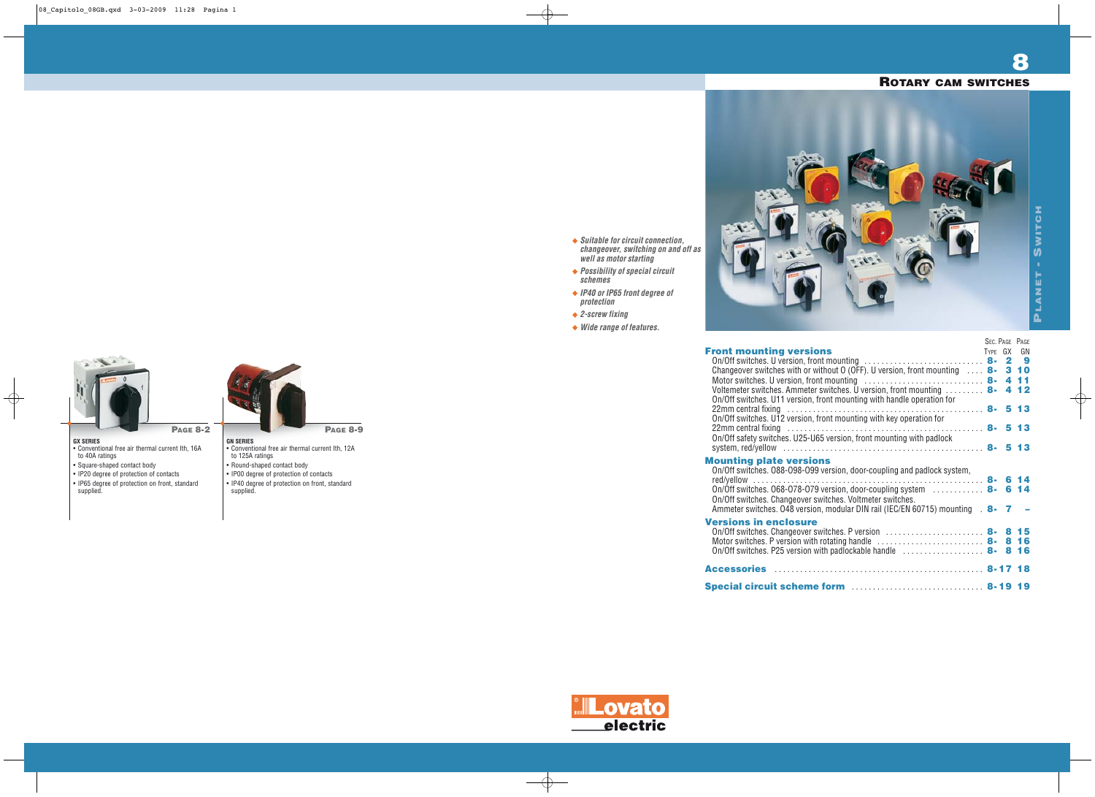

**Front mounting versions** 

# **GX SERIES**

- Conventional free air thermal current Ith, 16A to 40A ratings
- Square-shaped contact body
- IP20 degree of protection of contacts
- IP65 degree of protection on front, standard supplied.

**PAGE 8-2**

# **GN SERIES**

**protection** ◆ 2-screw fixing



- **PAGE 8-9**
- Conventional free air thermal current Ith, 12A to 125A ratings
- Round-shaped contact body
- IP00 degree of protection of contacts
- IP40 degree of protection on front, standard supplied.

**8**

**Suitable for circuit connection, changeover, switching on and off as**

**well as motor starting Possibility of special circuit**

**schemes**

**IP40 or IP65 front degree of**

**Wide range of features.**

# **ROTARY CAM SWITCHES**

|                                                                                                                                                                             |         | SEC. PAGE PAGE |  |
|-----------------------------------------------------------------------------------------------------------------------------------------------------------------------------|---------|----------------|--|
| ront mounting versions                                                                                                                                                      | TYPE GX | GN             |  |
| On/Off switches. U version, front mounting $\ldots \ldots \ldots \ldots \ldots \ldots \ldots$ 8- 2 9                                                                        |         |                |  |
| Changeover switches with or without $0$ (OFF). U version, front mounting $\ldots$ 8-3 10                                                                                    |         |                |  |
| Motor switches. U version, front mounting $\ldots \ldots \ldots \ldots \ldots \ldots \ldots \ldots$ 8- 4 11                                                                 |         |                |  |
| Voltemeter switches. Ammeter switches. U version, front mounting $\ldots \ldots \mathbf{8-4\ 12}$<br>On/Off switches. U11 version, front mounting with handle operation for |         |                |  |
|                                                                                                                                                                             |         |                |  |
| On/Off switches. U12 version, front mounting with key operation for                                                                                                         |         |                |  |
|                                                                                                                                                                             |         |                |  |
| On/Off safety switches. U25-U65 version, front mounting with padlock                                                                                                        |         |                |  |
|                                                                                                                                                                             |         |                |  |
| lounting plate versions<br>On/Off switches. 088-098-099 version, door-coupling and padlock system,                                                                          |         |                |  |
| On/Off switches. 068-078-079 version, door-coupling system $\ldots \ldots \ldots$ 8-6 14<br>On/Off switches. Changeover switches. Voltmeter switches.                       |         |                |  |
| Ammeter switches. 048 version, modular DIN rail (IEC/EN 60715) mounting 8-                                                                                                  |         |                |  |
| ersions in enclosure<br>On/Off switches. Changeover switches. P version $\ldots \ldots \ldots \ldots \ldots$                                                                |         |                |  |
| Motor switches. P version with rotating handle $\dots\dots\dots\dots\dots\dots\dots$ 8-816                                                                                  |         |                |  |
| On/Off switches. P25 version with padlockable handle $\ldots \ldots \ldots \ldots$ 8-816                                                                                    |         |                |  |
|                                                                                                                                                                             |         |                |  |
|                                                                                                                                                                             |         |                |  |
| pecial circuit scheme form  8-19 19                                                                                                                                         |         |                |  |

# **Mounting plate versions**

# **Versions in enclosure**

**Accessories** . . . . . . . . . . . . . . . . . . . . . . . . . . . . . . . . . . . . . . . . . . . . . . . . . **8-17 18**

**Special circuit schem** 

Lovato electric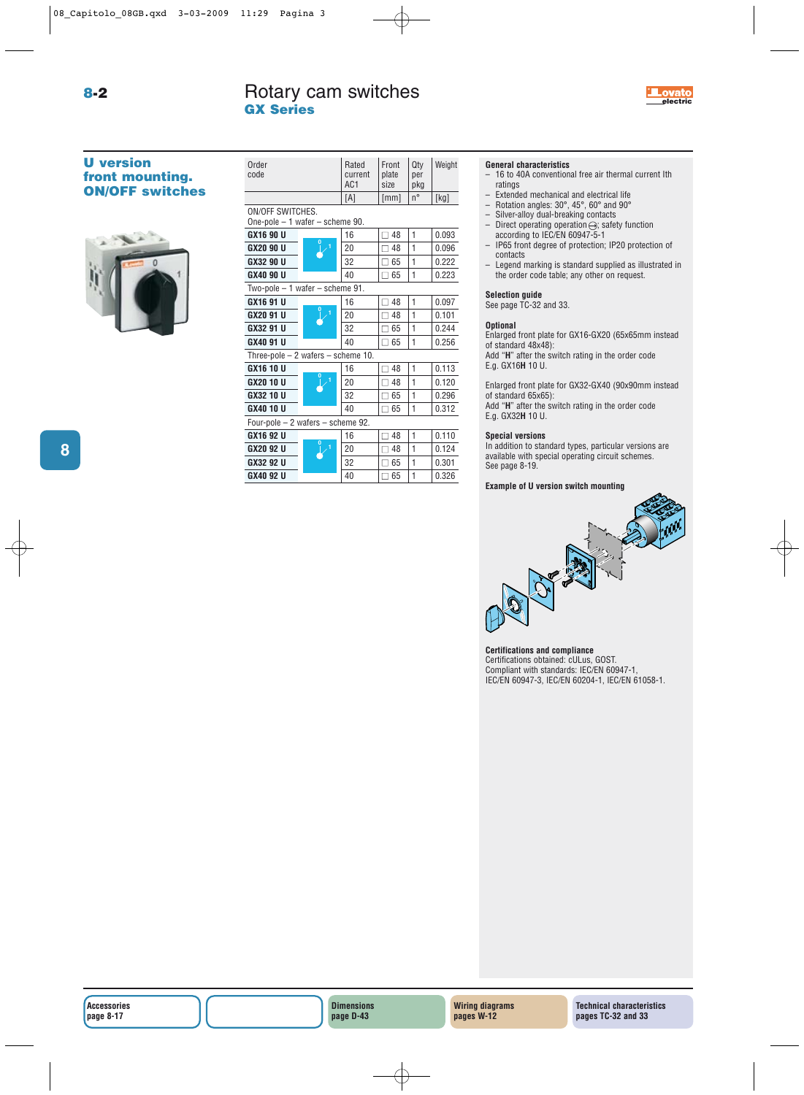Order Rated Front Qty Weight<br>code current plate per current

# **U version front mounting. ON/OFF switches**



|                                                        | AC <sub>1</sub> | size           | pka         |       |
|--------------------------------------------------------|-----------------|----------------|-------------|-------|
|                                                        | [A]             | [mm]           | $n^{\circ}$ | [kg]  |
| ON/OFF SWITCHES.<br>One-pole $-1$ wafer $-$ scheme 90. |                 |                |             |       |
| GX16 90 U                                              | 16              | $\Box$ 48      | 1           | 0.093 |
| $\overline{1}$<br>GX20 90 U                            | 20              | ∏ 48           | 1           | 0.096 |
| GX32 90 U                                              | 32              | $\Box$ 65      | 1           | 0.222 |
| GX40 90 U                                              | 40              | $\Box$ 65      | 1           | 0.223 |
| Two-pole $-1$ wafer $-$ scheme 91.                     |                 |                |             |       |
| GX16 91 U                                              | 16              | $\Box$ 48      | 1           | 0.097 |
| GX20 91 U                                              | 1<br>20         | 48             | 1           | 0.101 |
| GX32 91 U                                              | 32              | 65             | 1           | 0.244 |
| GX40 91 U                                              | 40              | $\square$ 65   | 1           | 0.256 |
| Three-pole $-2$ wafers $-$ scheme 10.                  |                 |                |             |       |
| GX16 10 U                                              | 16              | 48<br>п        | 1           | 0.113 |
| $\overline{1}$<br>GX20 10 U                            | 20              | 48             | 1           | 0.120 |
| GX32 10 U                                              | 32              | $\sqsupset$ 65 | 1           | 0.296 |
| GX40 10 U                                              | 40              | $\Box$ 65      | 1           | 0.312 |
| Four-pole - 2 wafers - scheme 92.                      |                 |                |             |       |
| GX16 92 U<br>$\bf{0}$                                  | 16              | 48<br>п        | 1           | 0.110 |
| GX20 92 U                                              | 1<br>20         | 48             | 1           | 0.124 |
| GX32 92 U                                              | 32              | $\square$ 65   | 1           | 0.301 |
| GX40 92 U                                              | 40              | $\sqsupset$ 65 | 1           | 0.326 |
|                                                        |                 |                |             |       |

# **General characteristics**

– 16 to 40A conventional free air thermal current Ith ratings

**electric**

.ovato

- Extended mechanical and electrical life<br>– Rotation angles:  $30^\circ$  45° 60° and 90°
- Rotation angles:  $30^{\circ}$ ,  $45^{\circ}$ ,  $60^{\circ}$  and  $90^{\circ}$ <br>– Silver-alloy dual-breaking contacts<br>– Direct operating operation  $\ominus$ : safety fu
- Silver-alloy dual-breaking contacts
- Direct operating operation $\ominus$ ; safety function according to IEC/EN 60947-5-1
- IP65 front degree of protection; IP20 protection of contacts
- Legend marking is standard supplied as illustrated in the order code table; any other on request.

# **Selection guide**

See page TC-32 and 33.

### **Optional**

Enlarged front plate for GX16-GX20 (65x65mm instead of standard 48x48):

Add "**H**" after the switch rating in the order code E.g. GX16**H** 10 U.

Enlarged front plate for GX32-GX40 (90x90mm instead of standard 65x65): Add "**H**" after the switch rating in the order code

E.g. GX32**H** 10 U.

# **Special versions**

In addition to standard types, particular versions are available with special operating circuit schemes. See page 8-19.

**Example of U version switch mounting**



**Certifications and compliance** Certifications obtained: cULus, GOST. Compliant with standards: IEC/EN 60947-1 IEC/EN 60947-3, IEC/EN 60204-1, IEC/EN 61058-1.

**8**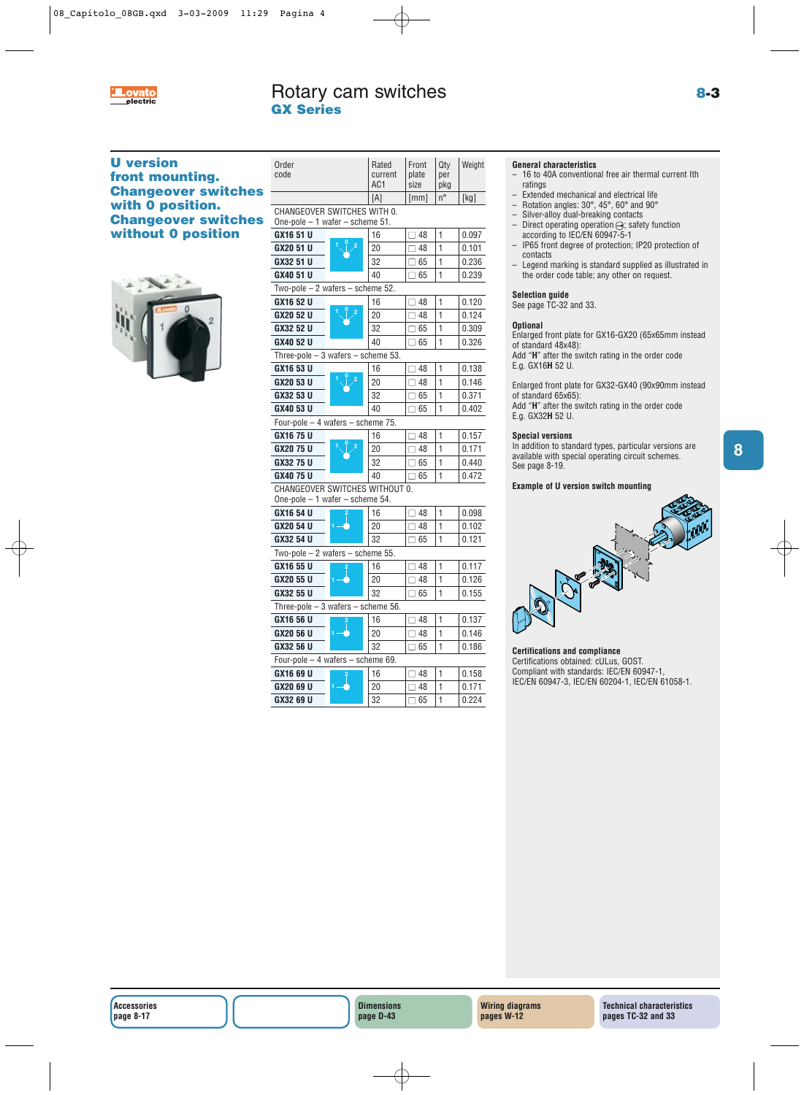

**8**

# **U version front mounting. Changeover switches with 0 position. Changeover switches without 0 position**



| Order<br>code                                                        | Rated<br>current<br>AC1 | Front<br>plate<br>size | Qty<br>per<br>pkg | Weight |
|----------------------------------------------------------------------|-------------------------|------------------------|-------------------|--------|
|                                                                      | [A]                     | [mm]                   | n°                | [kg]   |
| CHANGEOVER SWITCHES WITH 0.<br>One-pole $-1$ wafer $-$ scheme 51.    |                         |                        |                   |        |
| GX16 51 U                                                            | 16                      | $\square$ 48           | 1                 | 0.097  |
| GX20 51 U                                                            | 20                      | $\square$ 48           | $\mathbf{1}$      | 0.101  |
| GX32 51 U                                                            | 32                      | $\square$ 65           | $\mathbf{1}$      | 0.236  |
| GX40 51 U                                                            | 40                      | $\square$ 65           | 1                 | 0.239  |
| Two-pole $-2$ wafers $-$ scheme 52.                                  |                         |                        |                   |        |
| GX16 52 U                                                            | 16                      | $\square$ 48           | 1                 | 0.120  |
| GX20 52 U                                                            | 20                      | $\square$ 48           | $\mathbf{1}$      | 0.124  |
| GX32 52 U                                                            | 32                      | $\square$ 65           | $\mathbf{1}$      | 0.309  |
| GX40 52 U                                                            | 40                      | $\Box$ 65              | 1                 | 0.326  |
| Three-pole $-3$ wafers $-$ scheme 53.                                |                         |                        |                   |        |
| GX16 53 U                                                            | 16                      | $\Box$ 48              | 1                 | 0.138  |
| GX20 53 U                                                            | 20                      | $\Box$ 48              | $\mathbf{1}$      | 0.146  |
| GX32 53 U                                                            | 32                      | $\square$ 65           | $\mathbf{1}$      | 0.371  |
| GX40 53 U                                                            | 40                      | $\square$ 65           | 1                 | 0.402  |
| Four-pole - 4 wafers - scheme 75.                                    |                         |                        |                   |        |
| GX16 75 U                                                            | 16                      | $\Box$ 48              | $\mathbf{1}$      | 0.157  |
| GX20 75 U                                                            | 20                      | $\Box$ 48              | $\mathbf{1}$      | 0.171  |
| GX32 75 U                                                            | 32                      | $\square$ 65           | 1                 | 0.440  |
| GX40 75 U                                                            | 40                      | $\square$ 65           | 1                 | 0.472  |
| CHANGEOVER SWITCHES WITHOUT 0.<br>One-pole $-1$ wafer $-$ scheme 54. |                         |                        |                   |        |
| GX16 54 U                                                            | 16                      | $\square$ 48           | 1                 | 0.098  |
| GX20 54 U                                                            | 20                      | $\Box$ 48              | 1                 | 0.102  |
| GX32 54 U                                                            | 32                      | $\Box$ 65              | 1                 | 0.121  |
| Two-pole $-2$ wafers $-$ scheme 55.                                  |                         |                        |                   |        |
| GX16 55 U                                                            | 16                      | $\Box$ 48              | $\mathbf{1}$      | 0.117  |
| GX20 55 U                                                            | 20                      | $\square$ 48           | $\mathbf{1}$      | 0.126  |
| GX32 55 U                                                            | 32                      | $\square$ 65           | 1                 | 0.155  |
| Three-pole $-3$ wafers $-$ scheme 56.                                |                         |                        |                   |        |
| GX16 56 U                                                            | 16                      | $\Box$ 48              | $\mathbf{1}$      | 0.137  |
| GX20 56 U                                                            | 20                      | $\Box$ 48              | 1                 | 0.146  |
| GX32 56 U                                                            | 32                      | $\square$ 65           | 1                 | 0.186  |
| Four-pole - 4 wafers - scheme 69.                                    |                         |                        |                   |        |
| GX16 69 U                                                            | 16                      | $\Box$ 48              | 1                 | 0.158  |
| GX20 69 U                                                            | 20                      | $\Box$ 48              | 1                 | 0.171  |
| GX32 69 U                                                            | 32                      | $\Box$ 65              | $\mathbf{1}$      | 0.224  |

# **General characteristics**

- 16 to 40A conventional free air thermal current Ith ratings
- Extended mechanical and electrical life<br>– Botation angles:  $30^\circ$ ,  $45^\circ$ , 60° and 90°
- Rotation angles: 30°, 45°, 60° and 90°
- Silver-alloy dual-breaking contacts<br>– Direct operating operation  $\ominus$ : safe
- Direct operating operation  $\ominus$ ; safety function according to IEC/EN 60947-5-1
- IP65 front degree of protection; IP20 protection of contacts
- Legend marking is standard supplied as illustrated in the order code table; any other on request.

### **Selection guide**

See page TC-32 and 33.

### **Optional**

Enlarged front plate for GX16-GX20 (65x65mm instead of standard 48x48):

Add "**H**" after the switch rating in the order code E.g. GX16**H** 52 U.

Enlarged front plate for GX32-GX40 (90x90mm instead of standard 65x65):

Add "**H**" after the switch rating in the order code E.g. GX32**H** 52 U.

### **Special versions**

In addition to standard types, particular versions are available with special operating circuit schemes. See page 8-19.

### **Example of U version switch mounting**



### **Certifications and compliance**

Certifications obtained: cULus, GOST. Compliant with standards: IEC/EN 60947-1, IEC/EN 60947-3, IEC/EN 60204-1, IEC/EN 61058-1.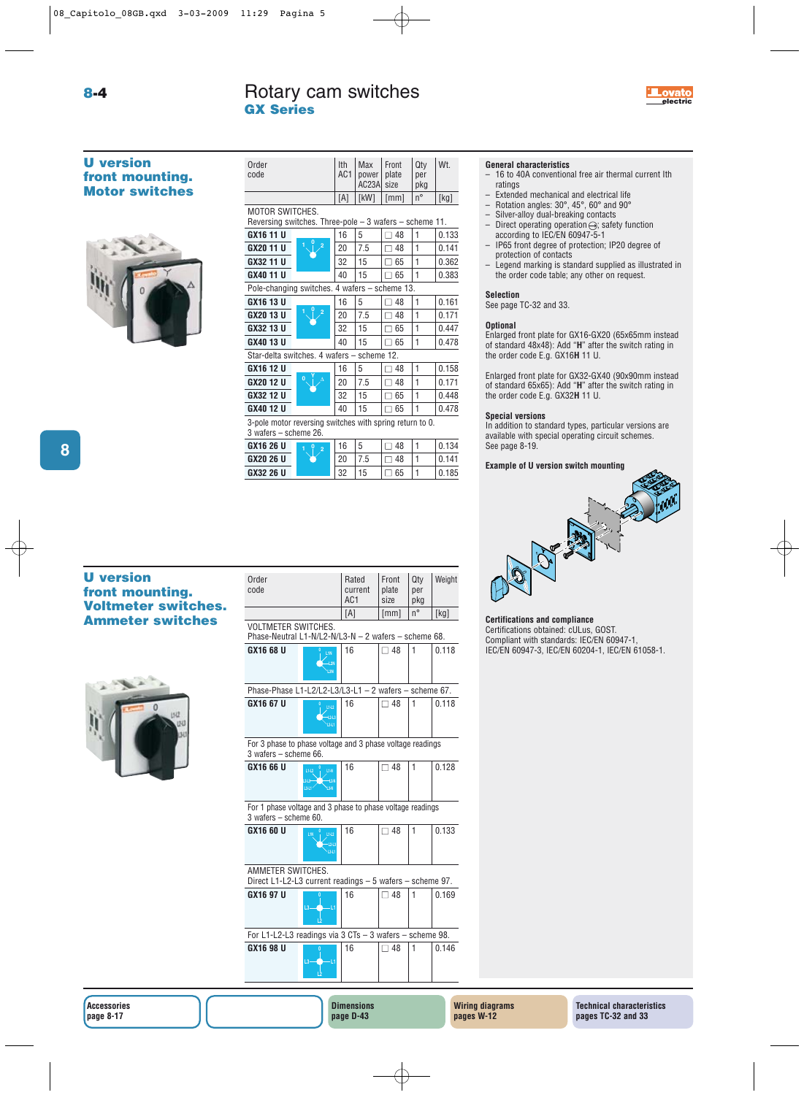

Order **Ith Max Front Qty Wt.** code <br>AC1 power plate per<br>AC23A size pkg

 $AC23A$  size

**8-4**

# **U version front mounting. Motor switches**



|                                                                                   |                     | [A] | [kW] | [mm]      | $n^{\circ}$ | [kg]  |
|-----------------------------------------------------------------------------------|---------------------|-----|------|-----------|-------------|-------|
| MOTOR SWITCHES.<br>Reversing switches. Three-pole $-$ 3 wafers $-$ scheme 11.     |                     |     |      |           |             |       |
| GX16 11 U                                                                         |                     | 16  | 5    | $\Box$ 48 | 1           | 0.133 |
| GX20 11 U                                                                         | 1<br>$\overline{2}$ | 20  | 7.5  | 48        | 1           | 0.141 |
| GX32 11 U                                                                         |                     | 32  | 15   | 65        | 1           | 0.362 |
| GX40 11 U                                                                         |                     | 40  | 15   | 65        | 1           | 0.383 |
| Pole-changing switches. 4 wafers - scheme 13.                                     |                     |     |      |           |             |       |
| GX16 13 U                                                                         |                     | 16  | 5    | 48        | 1           | 0.161 |
| GX20 13 U                                                                         | $\overline{2}$      | 20  | 7.5  | 48<br>ר ו | 1           | 0.171 |
| GX32 13 U                                                                         |                     | 32  | 15   | 65        | 1           | 0.447 |
| GX40 13 U                                                                         |                     | 40  | 15   | 65<br>П.  | 1           | 0.478 |
| Star-delta switches. 4 wafers - scheme 12.                                        |                     |     |      |           |             |       |
| GX16 12 U                                                                         |                     | 16  | 5    | 48        | 1           | 0.158 |
| GX20 12 U                                                                         | 0                   | 20  | 7.5  | 48        | 1           | 0.171 |
| GX32 12 U                                                                         |                     | 32  | 15   | 65        | 1           | 0.448 |
| GX40 12 U                                                                         |                     | 40  | 15   | 65<br>П   | 1           | 0.478 |
| 3-pole motor reversing switches with spring return to 0.<br>3 wafers – scheme 26. |                     |     |      |           |             |       |
| GX16 26 U                                                                         | $\overline{2}$      | 16  | 5    | 48        | 1           | 0.134 |
| GX20 26 U                                                                         |                     | 20  | 7.5  | 48        | 1           | 0.141 |

**GX32 26 U** 32 15 □ 65 1 0.185

# **General characteristics**

- 16 to 40A conventional free air thermal current Ith ratings
- Extended mechanical and electrical life<br>– Botation angles:  $30^\circ$ ,  $45^\circ$ ,  $60^\circ$  and  $90^\circ$
- Rotation angles: 30°, 45°, 60° and 90°
- Silver-alloy dual-breaking contacts
- Direct operating operation  $\ominus$ ; safety function according to IEC/EN 60947-5-1
- IP65 front degree of protection; IP20 degree of protection of contacts
- Legend marking is standard supplied as illustrated in the order code table; any other on request.

### **Selection**

See page TC-32 and 33.

### **Optional**

Enlarged front plate for GX16-GX20 (65x65mm instead of standard 48x48): Add "**H**" after the switch rating in the order code E.g. GX16**H** 11 U.

Enlarged front plate for GX32-GX40 (90x90mm instead of standard 65x65): Add "**H**" after the switch rating in the order code E.g. GX32**H** 11 U.

### **Special versions**

In addition to standard types, particular versions are available with special operating circuit schemes. See page 8-19.

### **Example of U version switch mounting**



### **Certifications and compliance**

Certifications obtained: cULus, GOST. Compliant with standards: IEC/EN 60947-1, IEC/EN 60947-3, IEC/EN 60204-1, IEC/EN 61058-1. **<sup>0</sup>**

# **Ammeter switches**



| Order<br>code                                                                      |                                                         | Rated<br>current<br>AC <sub>1</sub> | Front<br>plate<br>size | Qty<br>per<br>pkg | Weight |
|------------------------------------------------------------------------------------|---------------------------------------------------------|-------------------------------------|------------------------|-------------------|--------|
|                                                                                    |                                                         | [A]                                 | [mm]                   | n°                | [kg]   |
| <b>VOLTMETER SWITCHES.</b><br>Phase-Neutral L1-N/L2-N/L3-N - 2 wafers - scheme 68. |                                                         |                                     |                        |                   |        |
| GX16 68 U                                                                          | L1N<br>-L2N<br>L3N                                      | 16                                  | $\Box$ 48              | 1                 | 0.118  |
| Phase-Phase L1-L2/L2-L3/L3-L1 $-$ 2 wafers $-$ scheme 67.                          |                                                         |                                     |                        |                   |        |
| GX16 67 U                                                                          | L1-L2<br>$+243$<br>341                                  | 16                                  | $\Box$ 48              | 1                 | 0.118  |
| For 3 phase to phase voltage and 3 phase voltage readings<br>3 wafers - scheme 66. |                                                         |                                     |                        |                   |        |
| GX16 66 U                                                                          | L1-N<br>L1-L2<br>$243 -$<br>$-12N$<br><b>BAT</b><br>LЗA | 16                                  | $\Box$ 48              | 1                 | 0.128  |
| For 1 phase voltage and 3 phase to phase voltage readings<br>3 wafers - scheme 60. |                                                         |                                     |                        |                   |        |
| GX16 60 U                                                                          | L1-L2<br>$-12-13$<br>$L3-L1$                            | 16                                  | $\Box$ 48              | 1                 | 0.133  |
| AMMETER SWITCHES.<br>Direct L1-L2-L3 current readings - 5 wafers - scheme 97.      |                                                         |                                     |                        |                   |        |
| GX16 97 U                                                                          | $\overline{13}$<br>-11                                  | 16                                  | $\Box$ 48              | 1                 | 0.169  |
| For L1-L2-L3 readings via 3 CTs - 3 wafers - scheme 98.                            |                                                         |                                     |                        |                   |        |
| GX16 98 U                                                                          | Ō<br>$L3-$<br>-11<br>Ď                                  | 16                                  | ∃ 48                   | 1                 | 0.146  |
|                                                                                    |                                                         | <b>Dimensions</b>                   |                        |                   | V      |

**page D-43**

# **U version front mounting. Voltmeter switches.**

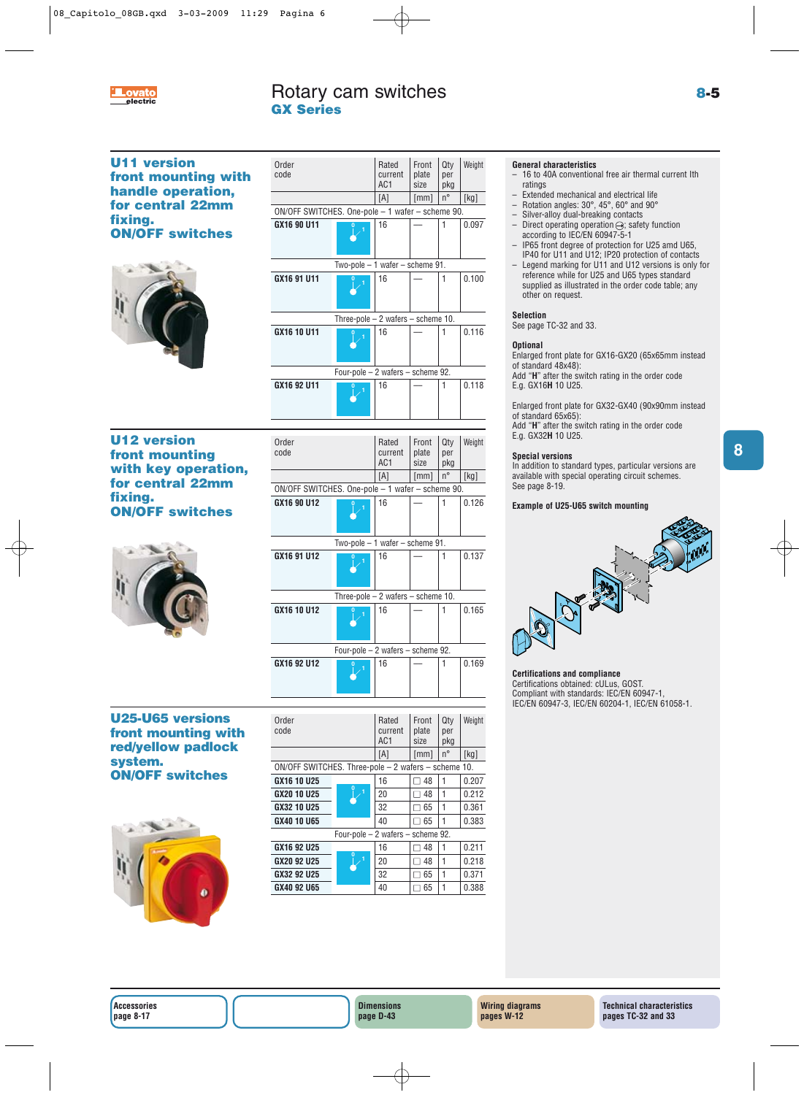

**8**

# **U11 version front mounting with handle operation, for central 22mm fixing. ON/OFF switches <sup>0</sup> <sup>1</sup>**



| code                                             |                                       | current<br>AC1 | plate<br>size | per<br>pkg  |       |
|--------------------------------------------------|---------------------------------------|----------------|---------------|-------------|-------|
|                                                  |                                       | [A]            | [mm]          | $n^{\circ}$ | [kg]  |
| ON/OFF SWITCHES. One-pole - 1 wafer - scheme 90. |                                       |                |               |             |       |
| GX16 90 U11                                      |                                       | 16             |               |             | 0.097 |
|                                                  | Two-pole $-1$ wafer $-$ scheme 91.    |                |               |             |       |
| GX16 91 U11                                      |                                       | 16             |               |             | 0.100 |
|                                                  | Three-pole $-2$ wafers $-$ scheme 10. |                |               |             |       |
| GX16 10 U11                                      |                                       | 16             |               |             | 0.116 |
|                                                  | Four-pole - 2 wafers - scheme 92.     |                |               |             |       |
| GX16 92 U11                                      |                                       | 16             |               | 1           | 0.118 |

Order Rated Front Qty Weight

# **U12 version front mounting with key operation, for central 22mm fixing. ON/OFF switches <sup>0</sup> <sup>1</sup>**



|                                                  |                                       | AC1 | size | pkg         |       |
|--------------------------------------------------|---------------------------------------|-----|------|-------------|-------|
|                                                  |                                       | [A] | [mm] | $n^{\circ}$ | [kg]  |
| ON/OFF SWITCHES. One-pole - 1 wafer - scheme 90. |                                       |     |      |             |       |
| GX16 90 U12                                      |                                       | 16  |      | 1           | 0.126 |
|                                                  | Two-pole $-1$ wafer $-$ scheme 91.    |     |      |             |       |
| GX16 91 U12                                      |                                       | 16  |      | 1           | 0.137 |
|                                                  | Three-pole $-2$ wafers $-$ scheme 10. |     |      |             |       |
| GX16 10 U12                                      |                                       | 16  |      | 1           | 0.165 |
| Four-pole $-2$ wafers $-$ scheme 92.             |                                       |     |      |             |       |
| GX16 92 U12                                      |                                       | 16  |      | 1           | 0.169 |

Order Rated Front Qty Weight code current plate per

# **U25-U65 versions front mounting with red/yellow padlock system. ON/OFF switches**



|                                                     |                                      | AC <sub>1</sub> | size      | pkg         |       |
|-----------------------------------------------------|--------------------------------------|-----------------|-----------|-------------|-------|
|                                                     |                                      | [A]             | [mm]      | $n^{\circ}$ | [kg]  |
| ON/OFF SWITCHES. Three-pole - 2 wafers - scheme 10. |                                      |                 |           |             |       |
| GX16 10 U25                                         | $\overline{0}$                       | 16              | 48        |             | 0.207 |
| GX20 10 U25                                         |                                      | 20              | 48        |             | 0.212 |
| GX32 10 U25                                         |                                      | 32              | 65        | 1           | 0.361 |
| GX40 10 U65                                         |                                      | 40              | $\Box$ 65 | 1           | 0.383 |
|                                                     | Four-pole $-2$ wafers $-$ scheme 92. |                 |           |             |       |
| GX16 92 U25                                         | $\overline{0}$                       | 16              | 48        | 1           | 0.211 |
| GX20 92 U25                                         | 1                                    | 20              | 48        | 1           | 0.218 |
| GX32 92 U25                                         |                                      | 32              | 65        | 1           | 0.371 |
| GX40 92 U65                                         |                                      | 40              | $\Box$ 65 |             | 0.388 |

Order Rated Front Qty Weight<br>
Code Current plate per

 $current$  plate per

# **General characteristics**

- 16 to 40A conventional free air thermal current Ith ratings
- Extended mechanical and electrical life<br>– Botation angles:  $30^\circ$ ,  $45^\circ$ , 60° and 90°
- Rotation angles: 30°, 45°, 60° and 90°
- Silver-alloy dual-breaking contacts
- $-$  Direct operating operation  $\ominus$ ; safety function according to IEC/EN 60947-5-1
- IP65 front degree of protection for U25 amd U65, IP40 for U11 and U12; IP20 protection of contacts
- Legend marking for U11 and U12 versions is only for reference while for U25 and U65 types standard supplied as illustrated in the order code table; any other on request.

# **Selection**

See page TC-32 and 33.

# **Optional**

Enlarged front plate for GX16-GX20 (65x65mm instead of standard 48x48): Add "**H**" after the switch rating in the order code

E.g. GX16**H** 10 U25.

Enlarged front plate for GX32-GX40 (90x90mm instead of standard 65x65):

Add "H" after the switch rating in the order code E.g. GX32**H** 10 U25.

# **Special versions**

In addition to standard types, particular versions are available with special operating circuit schemes. See page 8-19.

# **Example of U25-U65 switch mounting**



# **Certifications and compliance**

Certifications obtained: cULus, GOST. Compliant with standards: IEC/EN 60947-1, IEC/EN 60947-3, IEC/EN 60204-1, IEC/EN 61058-1.

**Accessories page 8-17**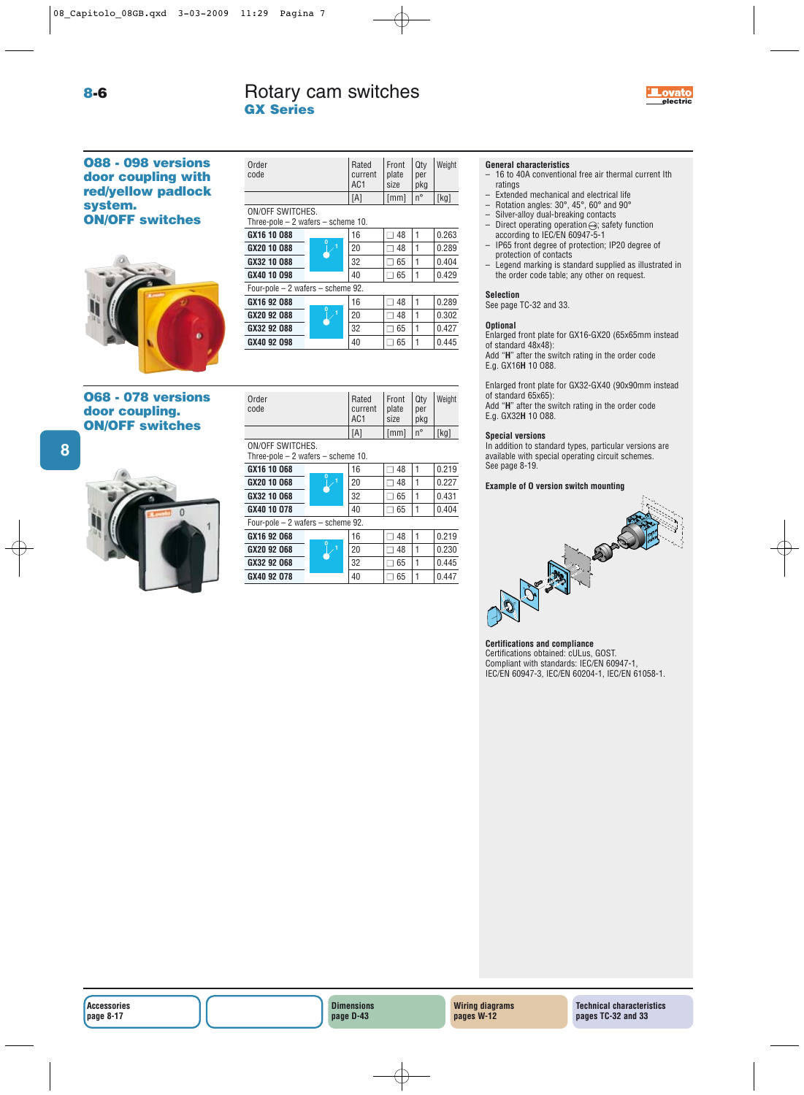# Rotary cam switches

Order Rated Front Qty Weight code current plate per<br>AC1 size pkg AC<sub>1</sub>

**GX16 10 088** 16 16  $\boxed{ \square 48}$  1 0.263 **GX20 10 088**  $\begin{bmatrix} 1 & 1 & 20 \\ 2 & 0 & 48 \\ 1 & 0.289 \end{bmatrix}$ **GX32 10 088**  $\begin{array}{|c|c|c|c|c|c|} \hline \textbf{G} & 32 & \Box & 65 & 1 & 0.404 \hline \end{array}$ **GX40 10 098** 40 □ 65 1 0.429

**<sup>0</sup> <sup>1</sup>**

**<sup>0</sup> <sup>1</sup>**

**GX16 92 088**  $\begin{array}{|c|c|c|c|c|c|} \hline \text{G} & \text{G} & \text{G} & \text{G} & \text{G} & \text{G} & \text{G} & \text{G} & \text{G} & \text{G} & \text{G} & \text{G} & \text{G} & \text{G} & \text{G} & \text{G} & \text{G} & \text{G} & \text{G} & \text{G} & \text{G} & \text{G} & \text{G} & \text{G} & \text{G} & \text{G} & \text{G} & \text{G} & \text{G} & \text{G} & \text{G$ **GX20 92 088**  $\begin{array}{|c|c|c|c|c|c|} \hline \end{array}$  20  $\begin{array}{|c|c|c|c|c|} \hline \end{array}$  48 1 0.302 **GX32 92 088** 32 □ 65 1 0.427 **GX40 92 098** 40 0.445

Order Rated Front Qty Weight code current plate per<br>AC1 size pkg

 $[A]$   $\left[\text{mm}\right]$   $n^{\circ}$   $\left[\text{kg}\right]$ 

 $DKg$ 

**GX Series**

ON/OFF SWITCHES.

Three-pole – 2 wafers – scheme 10.

Four-pole – 2 wafers – scheme 92.

# **O88 - 098 versions door coupling with red/yellow padlock system. ON/OFF switches**

| <b>068 - 078 versions</b> |
|---------------------------|
|                           |
| door coupling.            |
| <b>ON/OFF switches</b>    |



|                                   |                                       |                | [A] | [mm]      | $n^{\circ}$ | [kg]  |
|-----------------------------------|---------------------------------------|----------------|-----|-----------|-------------|-------|
| ON/OFF SWITCHES.                  |                                       |                |     |           |             |       |
|                                   | Three-pole $-2$ wafers $-$ scheme 10. |                |     |           |             |       |
|                                   | GX16 10 068                           |                | 16  | 48        |             | 0.219 |
|                                   | GX20 10 068                           |                | 20  | 48        | 1           | 0.227 |
|                                   | GX32 10 068                           |                | 32  | 65        | 1           | 0.431 |
|                                   | GX40 10 078                           |                | 40  | $\Box$ 65 | 1           | 0.404 |
| Four-pole - 2 wafers - scheme 92. |                                       |                |     |           |             |       |
|                                   | GX16 92 068                           | $\overline{0}$ | 16  | $\neg$ 48 | 1           | 0.219 |
|                                   | GX20 92 068                           |                | 20  | 48        | 1           | 0.230 |
|                                   | GX32 92 068                           |                | 32  | 65        | 1           | 0.445 |
|                                   | GX40 92 078                           |                | 40  | 65        |             | 0.447 |

**Dimensions page D-43**

# **General characteristics**

- 16 to 40A conventional free air thermal current Ith ratings
- Extended mechanical and electrical life<br>– Botation angles:  $30^\circ$ ,  $45^\circ$ ,  $60^\circ$  and  $90^\circ$
- Rotation angles: 30°, 45°, 60° and 90°
- Silver-alloy dual-breaking contacts<br>– Direct operating operation  $\ominus$  safe
- Direct operating operation  $\ominus$ ; safety function according to IEC/EN 60947-5-1
- IP65 front degree of protection; IP20 degree of protection of contacts
- Legend marking is standard supplied as illustrated in the order code table; any other on request.

# **Selection**

See page TC-32 and 33.

### **Optional**

Enlarged front plate for GX16-GX20 (65x65mm instead of standard 48x48):

Add "**H**" after the switch rating in the order code E.g. GX16**H** 10 O88.

Enlarged front plate for GX32-GX40 (90x90mm instead of standard 65x65):

Add "**H**" after the switch rating in the order code E.g. GX32**H** 10 O88.

### **Special versions**

In addition to standard types, particular versions are available with special operating circuit schemes. See page 8-19.

### **Example of O version switch mounting**



### **Certifications and compliance**

**Wiring diagrams pages W-12**

Certifications obtained: cULus, GOST. Compliant with standards: IEC/EN 60947-1, IEC/EN 60947-3, IEC/EN 60204-1, IEC/EN 61058-1.

> **Technical characteristics pages TC-32 and 33**

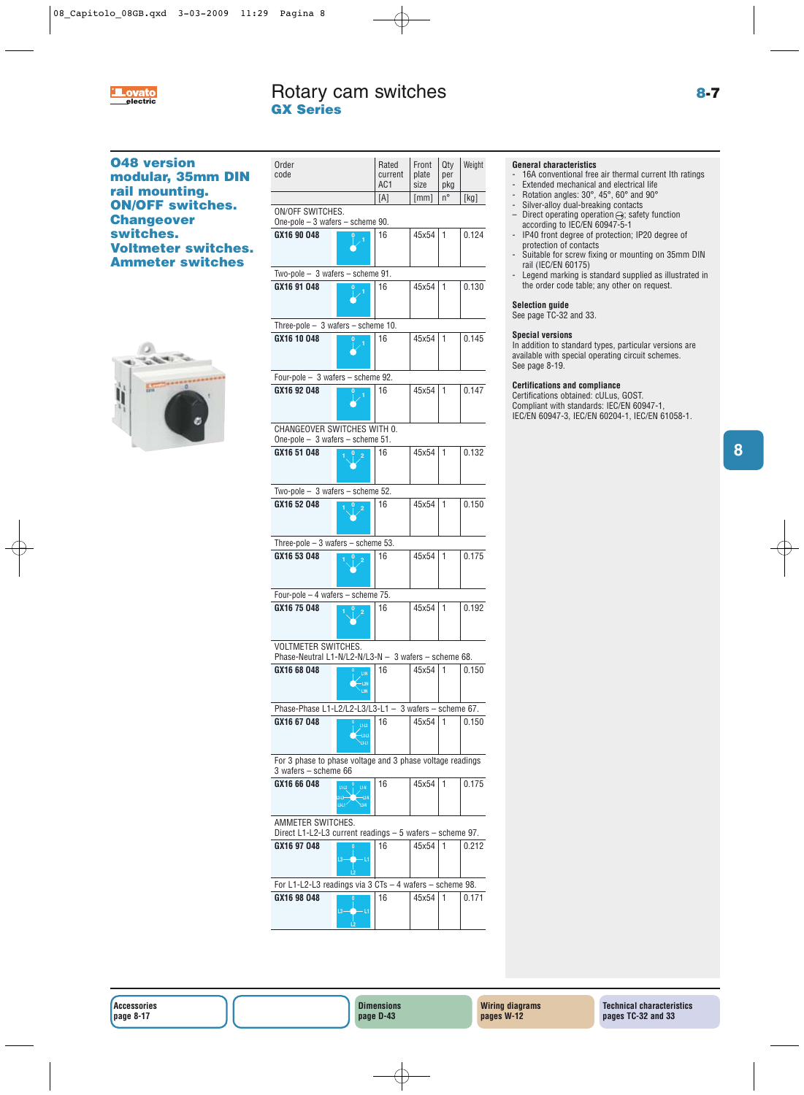

# **O48 version modular, 35mm DIN rail mounting. ON/OFF switches. Changeover switches. Voltmeter switches. Ammeter switches**



| Order<br>code                                                                      |                                | Rated<br>current<br>AC1 | Front<br>plate<br>size | Qty<br>per<br>pkg | Weight |
|------------------------------------------------------------------------------------|--------------------------------|-------------------------|------------------------|-------------------|--------|
|                                                                                    |                                | [A]                     | [mm]                   | n°                | [kg]   |
| ON/OFF SWITCHES.<br>One-pole $-3$ wafers $-$ scheme 90.                            |                                |                         |                        |                   |        |
| GX16 90 048                                                                        |                                | 16                      | 45x54                  | 1                 | 0.124  |
| Two-pole $-3$ wafers $-$ scheme 91.                                                |                                |                         |                        |                   |        |
| GX16 91 048                                                                        |                                | 16                      | 45x54                  | $\mathbf{1}$      | 0.130  |
| Three-pole $-$ 3 wafers $-$ scheme 10.                                             |                                |                         |                        |                   |        |
| GX16 10 048                                                                        |                                | 16                      | 45x54                  | 1                 | 0.145  |
| Four-pole - 3 wafers - scheme 92.                                                  |                                |                         |                        |                   |        |
| GX16 92 048                                                                        |                                | 16                      | 45x54                  | 1                 | 0.147  |
| CHANGEOVER SWITCHES WITH 0.<br>One-pole $-3$ wafers $-$ scheme 51.                 |                                |                         |                        |                   |        |
| GX16 51 048                                                                        |                                | 16                      | 45x54                  | 1                 | 0.132  |
| Two-pole $-3$ wafers $-$ scheme 52.                                                |                                |                         |                        |                   |        |
| GX16 52 048                                                                        | 2                              | 16                      | 45x54                  | 1                 | 0.150  |
| Three-pole $-3$ wafers $-$ scheme 53.                                              |                                |                         |                        |                   |        |
| GX16 53 048                                                                        | 2                              | 16                      | 45x54                  | 1                 | 0.175  |
| Four-pole $-4$ wafers $-$ scheme 75.                                               |                                |                         |                        |                   |        |
| GX16 75 048                                                                        |                                | 16                      | 45x54                  | 1                 | 0.192  |
| <b>VOLTMETER SWITCHES.</b><br>Phase-Neutral L1-N/L2-N/L3-N - 3 wafers - scheme 68. |                                |                         |                        |                   |        |
| GX16 68 048                                                                        |                                | 16                      | 45x54                  | 1                 | 0.150  |
|                                                                                    | L1N<br>L3N                     |                         |                        |                   |        |
| Phase-Phase L1-L2/L2-L3/L3-L1 - 3 wafers - scheme 67.                              |                                |                         |                        |                   |        |
| GX16 67 048                                                                        | $L1-L2$<br>$12-13$<br>$L3-L1$  | 16                      | 45x54                  | 1                 | 0.150  |
| For 3 phase to phase voltage and 3 phase voltage readings<br>3 wafers - scheme 66  |                                |                         |                        |                   |        |
| GX16 66 048                                                                        | $L1-L2$<br>Lt-N<br>13-11       | 16                      | 45x54                  | 1                 | 0.175  |
| AMMETER SWITCHES.<br>Direct L1-L2-L3 current readings - 5 wafers - scheme 97.      |                                |                         |                        |                   |        |
| GX16 97 048                                                                        | $\overline{L_3}$<br>- L1<br>ŗ. | 16                      | 45x54                  | 1                 | 0.212  |
| For L1-L2-L3 readings via 3 CTs - 4 wafers - scheme 98.                            |                                |                         |                        |                   |        |
| GX16 98 048                                                                        | $L3-$<br>-11                   | 16                      | 45x54                  | 1                 | 0.171  |

# **General characteristics**

- 16A conventional free air thermal current Ith ratings<br>- Extended mechanical and electrical life
- Extended mechanical and electrical life
- Rotation angles: 30°, 45°, 60° and 90°
- Silver-alloy dual-breaking contacts – Direct operating operation  $\ominus$ ; safety function
- according to IEC/EN 60947-5-1 - IP40 front degree of protection; IP20 degree of
- protection of contacts - Suitable for screw fixing or mounting on 35mm DIN
- rail (IEC/EN 60175)
- Legend marking is standard supplied as illustrated in the order code table; any other on request.

# **Selection guide**

See page TC-32 and 33.

# **Special versions**

In addition to standard types, particular versions are available with special operating circuit schemes. See page 8-19.

# **Certifications and compliance**

Certifications obtained: cULus, GOST. Compliant with standards: IEC/EN 60947-1, IEC/EN 60947-3, IEC/EN 60204-1, IEC/EN 61058-1.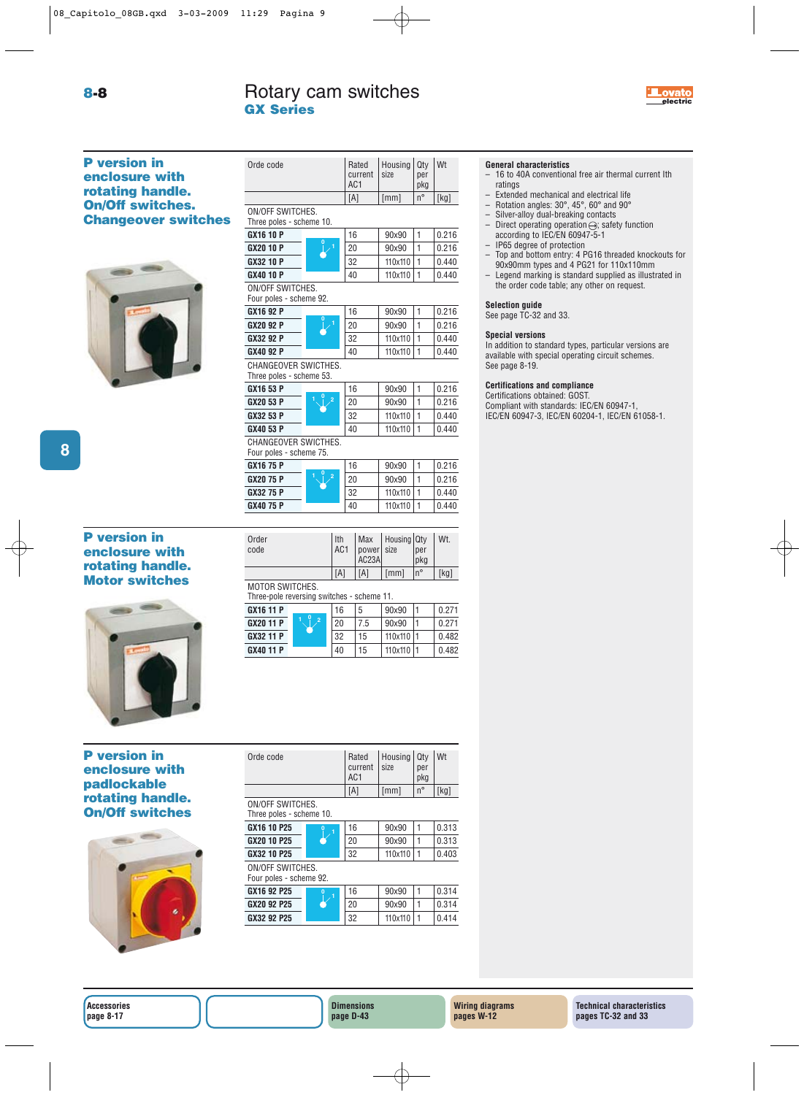Orde code Rated Housing Qty Wt current size per

AC<sub>1</sub>

current size per<br>AC1 pkg

 $[A]$   $[mm]$   $n^{\circ}$   $[kg]$ 



**P version in enclosure with rotating handle. On/Off switches. Changeover switch** 



| ON/OFF SWITCHES.<br>hes<br>Three poles - scheme 10. |                                                    |  |    |         |              |       |
|-----------------------------------------------------|----------------------------------------------------|--|----|---------|--------------|-------|
|                                                     | GX16 10 P                                          |  | 16 | 90x90   | $\mathbf{1}$ | 0.216 |
|                                                     | <b>GX20 10 P</b>                                   |  | 20 | 90x90   | $\mathbf{1}$ | 0.216 |
|                                                     | GX32 10 P                                          |  | 32 | 110x110 | $\mathbf{1}$ | 0.440 |
|                                                     | GX40 10 P                                          |  | 40 | 110x110 | $\mathbf{1}$ | 0.440 |
|                                                     | <b>ON/OFF SWITCHES.</b><br>Four poles - scheme 92. |  |    |         |              |       |
|                                                     | GX16 92 P                                          |  | 16 | 90x90   | 1            | 0.216 |
|                                                     | GX20 92 P                                          |  | 20 | 90x90   | 1            | 0.216 |
|                                                     | GX32 92 P                                          |  | 32 | 110x110 | 1            | 0.440 |
|                                                     | GX40 92 P                                          |  | 40 | 110x110 | 1            | 0.440 |
|                                                     | CHANGEOVER SWICTHES.<br>Three poles - scheme 53.   |  |    |         |              |       |
|                                                     | GX16 53 P                                          |  | 16 | 90x90   | $\mathbf{1}$ | 0.216 |
|                                                     | GX20 53 P                                          |  | 20 | 90x90   | 1            | 0.216 |
|                                                     | GX32 53 P                                          |  | 32 | 110x110 | $\mathbf{1}$ | 0.440 |
|                                                     | GX40 53 P                                          |  | 40 | 110x110 | 1            | 0.440 |
|                                                     | CHANGEOVER SWICTHES.<br>Four poles - scheme 75.    |  |    |         |              |       |
|                                                     | GX16 75 P                                          |  | 16 | 90×90   | $\mathbf{1}$ | 0.216 |
|                                                     | GX20 75 P                                          |  | 20 | 90x90   | 1            | 0.216 |
|                                                     | GX32 75 P                                          |  | 32 | 110x110 | $\mathbf{1}$ | 0.440 |
|                                                     | GX40 75 P                                          |  | 40 | 110x110 | $\mathbf{1}$ | 0.440 |
|                                                     |                                                    |  |    |         |              |       |

# **P version in enclosure with rotating handle. Motor switches**



# **P version in enclosure with padlockable rotating handle. On/Off switches**



| Orde code                |                | Rated           | Housing | Qty         | Wt    |
|--------------------------|----------------|-----------------|---------|-------------|-------|
|                          |                | current         | size    | per         |       |
|                          |                | AC <sub>1</sub> |         | pkg         |       |
|                          |                | [A]             | [mm]    | $n^{\circ}$ | [kg]  |
|                          |                |                 |         |             |       |
| ON/OFF SWITCHES.         |                |                 |         |             |       |
| Three poles - scheme 10. |                |                 |         |             |       |
| GX16 10 P25              | $\overline{0}$ | 16              | 90×90   |             | 0.313 |
| GX20 10 P25              |                | 20              | 90×90   |             | 0.313 |
| GX32 10 P25              |                | 32              | 110x110 |             | 0.403 |

Order **Ith Max Housing Qty Wt.**<br>code AC1 power size per

**GX16 11 P** 16 | 5 | 90x90 | 1 | 0.271 **GX20 11 P**  $\sqrt{2}$  20 7.5 90x90 1 0.271 **GX32 11 P** 32 15 110x110 1 0.482 **GX40 11 P** 40 15 110x110 1 0.482

MOTOR SWITCHES.

Three-pole reversing switches - scheme 11.

**<sup>0</sup> <sup>1</sup> <sup>2</sup>**

 $AC23A$ 

power size per<br>AC23A pkg

 $\begin{bmatrix} [A] \ [A] \end{bmatrix}$   $\begin{bmatrix} [mm] [n^{\circ} \end{bmatrix}$   $\begin{bmatrix} [kg] \end{bmatrix}$ 

### ON/OFF SWITCHES. Four poles - scheme 92.

| . p<br>----------- |  |    |         |  |       |  |  |  |
|--------------------|--|----|---------|--|-------|--|--|--|
| GX16 92 P25        |  | 16 | 90×90   |  | 0.314 |  |  |  |
| GX20 92 P25        |  | 20 | 90x90   |  | 0.314 |  |  |  |
| GX32 92 P25        |  | 32 | 110x110 |  | 0.414 |  |  |  |
|                    |  |    |         |  |       |  |  |  |

# **General characteristics**

- 16 to 40A conventional free air thermal current Ith ratings
- Extended mechanical and electrical life<br>– Botation angles:  $30^\circ$ ,  $45^\circ$ ,  $60^\circ$  and  $90^\circ$
- Rotation angles: 30°, 45°, 60° and 90°
- Silver-alloy dual-breaking contacts<br>– Direct operating operation  $\ominus$  safe
- Direct operating operation  $\ominus$ ; safety function according to IEC/EN 60947-5-1
- IP65 degree of protection<br>– Top and bottom entry: 4 P
- Top and bottom entry: 4 PG16 threaded knockouts for 90x90mm types and 4 PG21 for 110x110mm
- Legend marking is standard supplied as illustrated in the order code table; any other on request.

# **Selection guide**

# See page TC-32 and 33.

# **Special versions**

In addition to standard types, particular versions are available with special operating circuit schemes. See page 8-19.

# **Certifications and compliance**

Certifications obtained: GOST. Compliant with standards: IEC/EN 60947-1, IEC/EN 60947-3, IEC/EN 60204-1, IEC/EN 61058-1.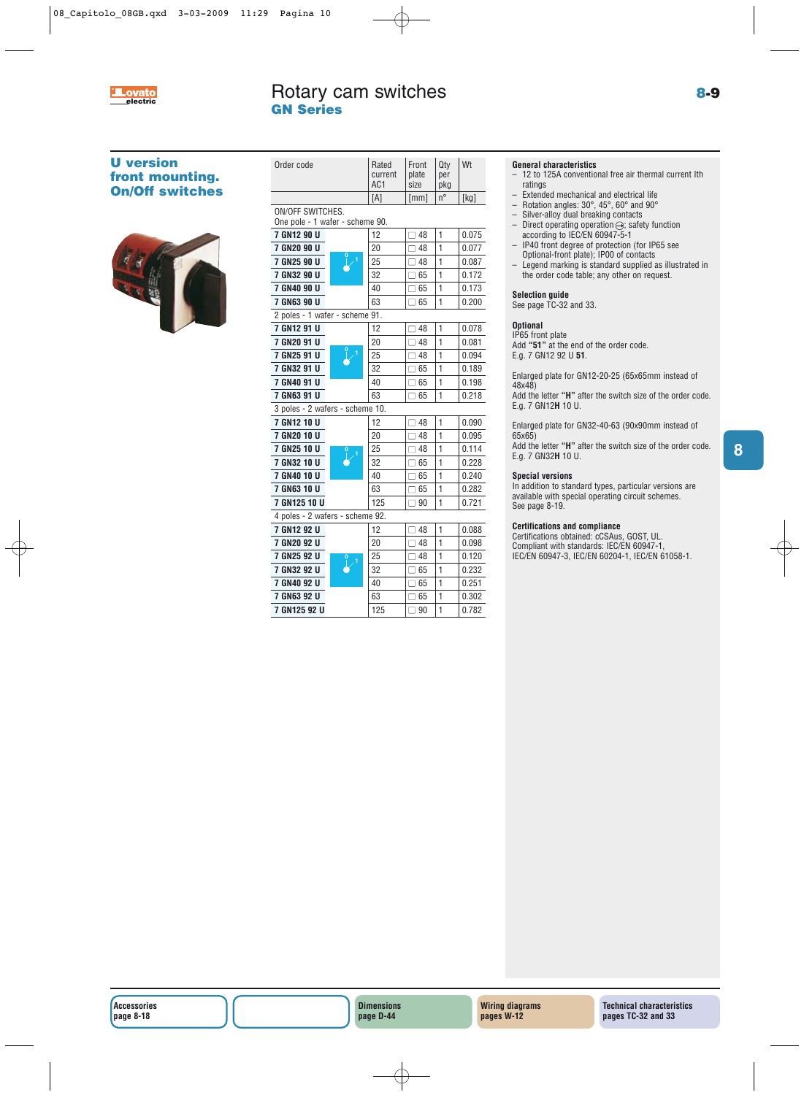

# Rotary cam switches **8-9 electric GN Series**

# **U version front mounting. On/Off switches**



| Order code                                                 | Rated<br>current<br>AC1 | Front<br>plate<br>size | Qty<br>per<br>pkg | Wt    |
|------------------------------------------------------------|-------------------------|------------------------|-------------------|-------|
|                                                            | [A]                     | [mm]                   | $n^{\circ}$       | [kg]  |
| <b>ON/OFF SWITCHES.</b><br>One pole - 1 wafer - scheme 90. |                         |                        |                   |       |
| 7 GN12 90 U                                                | 12                      | □ 48                   | $\mathbf{1}$      | 0.075 |
| 7 GN20 90 U                                                | 20                      | $\square$ 48           | 1                 | 0.077 |
| 7 GN25 90 U                                                | 25                      | $\square$ 48           | 1                 | 0.087 |
| 7 GN32 90 U                                                | 32                      | $\Box$ 65              | 1                 | 0.172 |
| 7 GN40 90 U                                                | 40                      | $\square$ 65           | 1                 | 0.173 |
| 7 GN63 90 U                                                | 63                      | $\Box$ 65              | 1                 | 0.200 |
| 2 poles - 1 wafer - scheme 91.                             |                         |                        |                   |       |
| 7 GN12 91 U                                                | 12                      | □ 48                   | 1                 | 0.078 |
| 7 GN20 91 U                                                | 20                      | $\Box$ 48              | 1                 | 0.081 |
| 7 GN25 91 U                                                | 25                      | $\square$ 48           | $\mathbf{1}$      | 0.094 |
| 7 GN32 91 U                                                | 32                      | $\Box$ 65              | 1                 | 0.189 |
| 7 GN40 91 U                                                | 40                      | 65<br>П                | 1                 | 0.198 |
| 7 GN63 91 U                                                | 63                      | $\Box$ 65              | 1                 | 0.218 |
| 3 poles - 2 wafers - scheme 10.                            |                         |                        |                   |       |
| 7 GN12 10 U                                                | 12                      | $\Box$ 48              | 1                 | 0.090 |
| 7 GN20 10 U                                                | 20                      | $\Box$ 48              | 1                 | 0.095 |
| 7 GN25 10 U                                                | 25                      | $\Box$ 48              | 1                 | 0.114 |
| 7 GN32 10 U                                                | 32                      | $\square$ 65           | 1                 | 0.228 |
| 7 GN40 10 U                                                | 40                      | $\Box$ 65              | 1                 | 0.240 |
| 7 GN63 10 U                                                | 63                      | 65<br>П                | 1                 | 0.282 |
| 7 GN125 10 U                                               | 125                     | $\Box$ 90              | 1                 | 0.721 |
| 4 poles - 2 wafers - scheme 92.                            |                         |                        |                   |       |
| 7 GN12 92 U                                                | 12                      | $\Box$ 48              | $\mathbf{1}$      | 0.088 |
| 7 GN20 92 U                                                | 20                      | □ 48                   | 1                 | 0.098 |
| 7 GN25 92 U                                                | 25                      | $\Box$ 48              | 1                 | 0.120 |
| 7 GN32 92 U                                                | 32                      | 65<br>П                | 1                 | 0.232 |
| 7 GN40 92 U                                                | 40                      | $\Box$ 65              | 1                 | 0.251 |
| 7 GN63 92 U                                                | 63                      | $\Box$ 65              | 1                 | 0.302 |
| 7 GN125 92 U                                               | 125                     | $\square$ 90           | $\mathbf{1}$      | 0.782 |

# **General characteristics**

- 12 to 125A conventional free air thermal current Ith ratings
- Extended mechanical and electrical life
- Rotation angles: 30°, 45°, 60° and 90°
- Silver-alloy dual breaking contacts
- Direct operating operation  $\ominus$ ; safety function according to IEC/EN 60947-5-1
- IP40 front degree of protection (for IP65 see Optional-front plate); IP00 of contacts
- Legend marking is standard supplied as illustrated in the order code table; any other on request.

### **Selection guide**

See page TC-32 and 33.

### **Optional**

IP65 front plate Add **"51"** at the end of the order code. E.g. 7 GN12 92 U **51**.

Enlarged plate for GN12-20-25 (65x65mm instead of 48x48)

Add the letter **"H"** after the switch size of the order code. E.g. 7 GN12**H** 10 U.

Enlarged plate for GN32-40-63 (90x90mm instead of 65x65)

Add the letter **"H"** after the switch size of the order code. E.g. 7 GN32**H** 10 U.

### **Special versions**

In addition to standard types, particular versions are available with special operating circuit schemes. See page 8-19.

### **Certifications and compliance**

Certifications obtained: cCSAus, GOST, UL. Compliant with standards: IEC/EN 60947-1, IEC/EN 60947-3, IEC/EN 60204-1, IEC/EN 61058-1.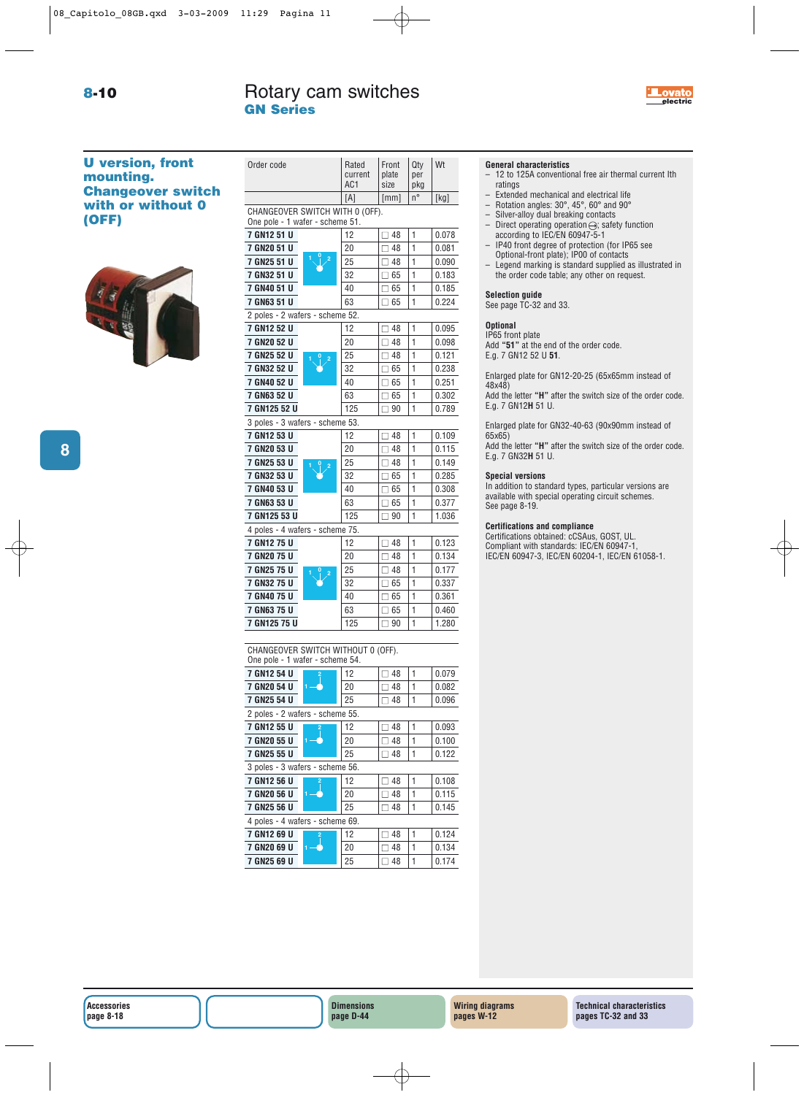# **8-10 electric** Rotary cam switches **and the COVID-10 electric GN Series**

Order code Rated Front Qty Wt



# **U version, front mounting. Changeover switch with or without 0 (OFF)**



|                                                                       | current<br>AC <sub>1</sub> | plate<br>size | per<br>pkg   |       |
|-----------------------------------------------------------------------|----------------------------|---------------|--------------|-------|
|                                                                       | [A]                        | [mm]          | n°           | [kg]  |
| CHANGEOVER SWITCH WITH 0 (OFF).                                       |                            |               |              |       |
| One pole - 1 wafer - scheme 51.                                       |                            |               |              |       |
| 7 GN12 51 U                                                           | 12                         | $\square$ 48  | 1            | 0.078 |
| 7 GN20 51 U                                                           | 20                         | $\square$ 48  | 1            | 0.081 |
| 7 GN25 51 U                                                           | 25                         | $\Box$ 48     | 1            | 0.090 |
| 7 GN32 51 U                                                           | 32                         | $\square$ 65  | 1            | 0.183 |
| 7 GN40 51 U                                                           | 40                         | $\square$ 65  | 1            | 0.185 |
| 7 GN63 51 U                                                           | 63                         | $\Box$ 65     | 1            | 0.224 |
| 2 poles - 2 wafers - scheme 52.                                       |                            |               |              |       |
| 7 GN12 52 U                                                           | 12                         | $\Box$ 48     | 1            | 0.095 |
| 7 GN20 52 U                                                           | 20                         | $\Box$ 48     | 1            | 0.098 |
| 7 GN25 52 U                                                           | 25                         | $\square$ 48  | 1            | 0.121 |
| 7 GN32 52 U                                                           | 32                         | $\square$ 65  | 1            | 0.238 |
| 7 GN40 52 U                                                           | 40                         | $\Box$ 65     | 1            | 0.251 |
| 7 GN63 52 U                                                           | 63                         | $\Box$ 65     | 1            | 0.302 |
| 7 GN125 52 U                                                          | 125                        | $\Box$ 90     | 1            | 0.789 |
| 3 poles - 3 wafers - scheme 53.                                       |                            |               |              |       |
| 7 GN12 53 U                                                           | 12                         | $\square$ 48  | 1            | 0.109 |
| 7 GN20 53 U                                                           | 20                         | $\square$ 48  | 1            | 0.115 |
| 7 GN25 53 U                                                           | 25                         | $\Box$ 48     | 1            | 0.149 |
| 7 GN32 53 U                                                           | 32                         | $\square$ 65  | 1            | 0.285 |
| 7 GN40 53 U                                                           | 40                         | $\Box$ 65     | 1            | 0.308 |
| 7 GN63 53 U                                                           | 63                         | $\square$ 65  | 1            | 0.377 |
| 7 GN125 53 U                                                          | 125                        | $\Box$ 90     | 1            | 1.036 |
| 4 poles - 4 wafers - scheme 75.                                       |                            |               |              |       |
| 7 GN12 75 U                                                           | 12                         | $\Box$ 48     | 1            | 0.123 |
| 7 GN20 75 U                                                           | 20                         | $\Box$ 48     | 1            | 0.134 |
| 7 GN25 75 U                                                           | 25                         | $\square$ 48  | $\mathbf{1}$ | 0.177 |
| 7 GN32 75 U                                                           | 32                         | $\square$ 65  | 1            | 0.337 |
| 7 GN40 75 U                                                           | 40                         | $\Box$ 65     | 1            | 0.361 |
| 7 GN63 75 U                                                           | 63                         | $\square$ 65  | 1            | 0.460 |
| 7 GN125 75 U                                                          | 125                        | $\Box$ 90     | 1            | 1.280 |
|                                                                       |                            |               |              |       |
| CHANGEOVER SWITCH WITHOUT 0 (OFF).<br>One pole - 1 wafer - scheme 54. |                            |               |              |       |
| 7 GN12 54 U                                                           | 12                         | $\square$ 48  | 1            | 0.079 |
| 7 GN20 54 U                                                           | 20                         | $\Box$ 48     | 1            | 0.082 |
| 7 GN25 54 U                                                           | 25                         | $\Box$ 48     | 1            | 0.096 |
| 2 nolge - 2 wafere - cchame 55                                        |                            |               |              |       |

2 poles - 2 wafers - scheme 55. **7 GN12 55 U** 2 12 12 48 1 0.093 **7 GN20 55 U** 1 → 20 □ 48 1 0.100 **2**

| 7 GN25 55 U                     | 25 | $\square$ 48 |  | 0.122 |  |  |  |  |
|---------------------------------|----|--------------|--|-------|--|--|--|--|
| 3 poles - 3 wafers - scheme 56. |    |              |  |       |  |  |  |  |
| 7 GN12 56 U<br>$\overline{2}$   | 12 | $\Box$ 48    |  | 0.108 |  |  |  |  |
| 7 GN20 56 U                     | 20 | $\square$ 48 |  | 0.115 |  |  |  |  |
| 7 GN25 56 U                     | 25 | $\square$ 48 |  | 0.145 |  |  |  |  |
| 4 poles - 4 wafers - scheme 69. |    |              |  |       |  |  |  |  |
| 7 GN12 69 U<br>$\overline{2}$   | 12 | $\Box$ 48    |  | 0.124 |  |  |  |  |
| 7 GN20 69 U                     | 20 | $\square$ 48 |  | 0.134 |  |  |  |  |
| 7 GN25 69 U                     | 25 | 48           |  | 0.174 |  |  |  |  |

# **General characteristics**

- 12 to 125A conventional free air thermal current Ith ratings
- Extended mechanical and electrical life
- Rotation angles: 30°, 45°, 60° and 90°
- Silver-alloy dual breaking contacts
- Direct operating operation $\ominus$ ; safety function according to IEC/EN 60947-5-1
- IP40 front degree of protection (for IP65 see Optional-front plate); IP00 of contacts
- Legend marking is standard supplied as illustrated in the order code table; any other on request.

### **Selection guide**

See page TC-32 and 33.

### **Optional**

IP65 front plate Add **"51"** at the end of the order code. E.g. 7 GN12 52 U **51**.

Enlarged plate for GN12-20-25 (65x65mm instead of 48x48)

Add the letter **"H"** after the switch size of the order code. E.g. 7 GN12**H** 51 U.

Enlarged plate for GN32-40-63 (90x90mm instead of 65x65)

Add the letter **"H"** after the switch size of the order code. E.g. 7 GN32**H** 51 U.

### **Special versions**

In addition to standard types, particular versions are available with special operating circuit schemes. See page 8-19.

### **Certifications and compliance**

Certifications obtained: cCSAus, GOST, UL. Compliant with standards: IEC/EN 60947-1, IEC/EN 60947-3, IEC/EN 60204-1, IEC/EN 61058-1.

**Accessories page 8-18**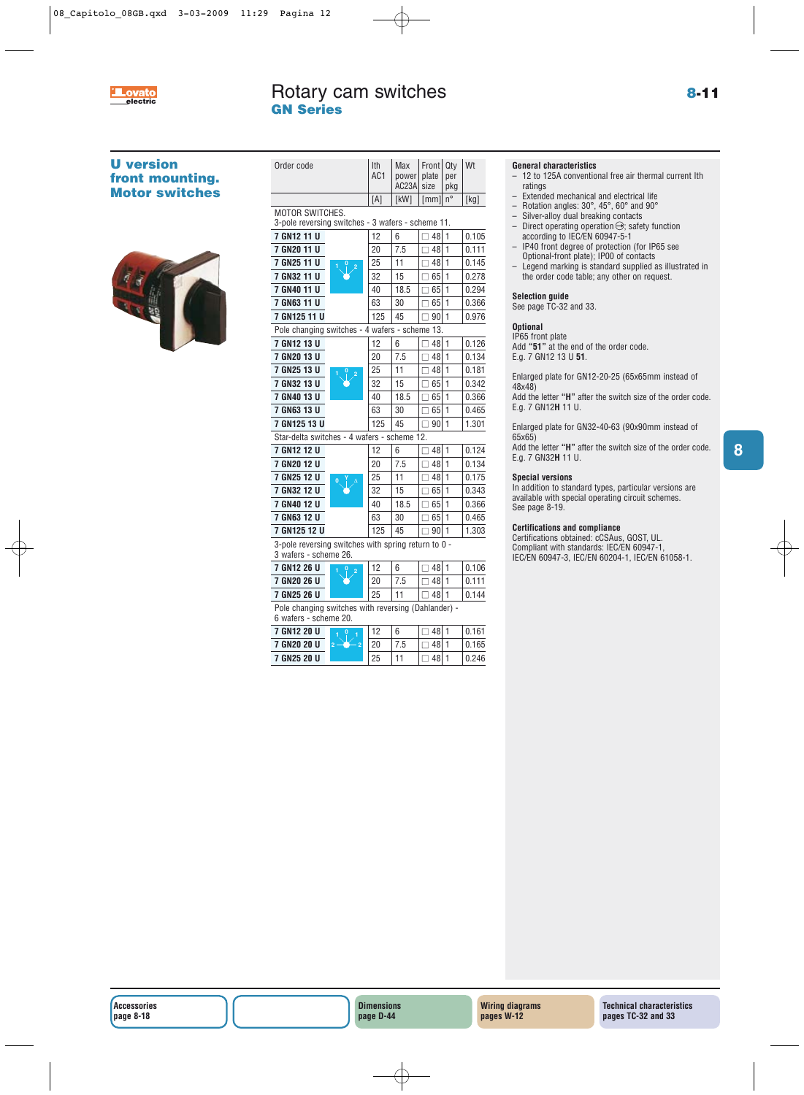

**8**

# **U version front mounting. Motor switches**



| Order code                                                                   |                | Ith<br>AC1 | Max<br>power<br>AC23A | Frontl<br>plate<br>size | Qtv<br>per<br>pkg | Wt    |
|------------------------------------------------------------------------------|----------------|------------|-----------------------|-------------------------|-------------------|-------|
|                                                                              |                | [A]        | [kW]                  | [mm]                    | $n^{\circ}$       | [kg]  |
| <b>MOTOR SWITCHES.</b><br>3-pole reversing switches - 3 wafers - scheme 11.  |                |            |                       |                         |                   |       |
| 7 GN12 11 U                                                                  |                | 12         | 6                     | $\Box$ 48               | 1                 | 0.105 |
| 7 GN20 11 U                                                                  |                | 20         | 7.5                   | $\Box$ 48               | 1                 | 0.111 |
| 7 GN25 11 U                                                                  | $\overline{2}$ | 25         | 11                    | $\Box$ 48               | 1                 | 0.145 |
| 7 GN32 11 U                                                                  |                | 32         | 15                    | $\Box$ 65               | 1                 | 0.278 |
| 7 GN40 11 U                                                                  |                | 40         | 18.5                  | $\Box$ 65               | 1                 | 0.294 |
| 7 GN63 11 U                                                                  |                | 63         | 30                    | $\Box$ 65               | $\mathbf{1}$      | 0.366 |
| 7 GN125 11 U                                                                 |                | 125        | 45                    | $\Box$ 90               | 1                 | 0.976 |
| Pole changing switches - 4 wafers - scheme 13.                               |                |            |                       |                         |                   |       |
| 7 GN12 13 U                                                                  |                | 12         | 6                     | $\Box$ 48               | $\mathbf{1}$      | 0.126 |
| 7 GN20 13 U                                                                  |                | 20         | 7.5                   | $\Box$ 48               | 1                 | 0.134 |
| 7 GN25 13 U                                                                  | $\overline{2}$ | 25         | 11                    | $\Box$ 48               | 1                 | 0.181 |
| 7 GN32 13 U                                                                  |                | 32         | 15                    | $\Box$ 65               | 1                 | 0.342 |
| 7 GN40 13 U                                                                  |                | 40         | 18.5                  | $\Box$ 65               | 1                 | 0.366 |
| 7 GN63 13 U                                                                  |                | 63         | 30                    | $\Box$ 65               | 1                 | 0.465 |
| 7 GN125 13 U                                                                 |                | 125        | 45                    | $\Box$ 90               | 1                 | 1.301 |
| Star-delta switches - 4 wafers - scheme 12.                                  |                |            |                       |                         |                   |       |
| 7 GN12 12 U                                                                  |                | 12         | 6                     | $\Box$ 48               | 1                 | 0.124 |
| 7 GN20 12 U                                                                  |                | 20         | 7.5                   | $\square$ 48            | 1                 | 0.134 |
| 7 GN25 12 U                                                                  |                | 25         | 11                    | $\Box$ 48               | 1                 | 0.175 |
| 7 GN32 12 U                                                                  |                | 32         | 15                    | $\Box$ 65               | 1                 | 0.343 |
| 7 GN40 12 U                                                                  |                | 40         | 18.5                  | $\Box$ 65               | $\mathbf{1}$      | 0.366 |
| 7 GN63 12 U                                                                  |                | 63         | 30                    | $\Box$ 65               | $\mathbf{1}$      | 0.465 |
| 7 GN125 12 U                                                                 |                | 125        | 45                    | $\Box$ 90               | $\mathbf{1}$      | 1.303 |
| 3-pole reversing switches with spring return to 0 -<br>3 wafers - scheme 26. |                |            |                       |                         |                   |       |
| 7 GN12 26 U                                                                  |                | 12         | 6                     | $\Box$ 48               | 1                 | 0.106 |
| 7 GN20 26 U                                                                  |                | 20         | 7.5                   | $\Box$ 48               | 1                 | 0.111 |
| 7 GN25 26 U                                                                  |                | 25         | 11                    | $\square$ 48            | 1                 | 0.144 |
| Pole changing switches with reversing (Dahlander) -<br>6 wafers - scheme 20. |                |            |                       |                         |                   |       |
| 7 GN12 20 U                                                                  |                | 12         | 6                     | $\overline{1}$ 48       | 1                 | 0.161 |
| 7 GN20 20 U                                                                  | $\overline{a}$ | 20         | 7.5                   | $\Box$ 48               | 1                 | 0.165 |

**7 GN25 20 U** 25 11 □ 48 1 0.246

### **General characteristics**

- 12 to 125A conventional free air thermal current Ith ratings
- Extended mechanical and electrical life
- Rotation angles: 30°, 45°, 60° and 90°
- Silver-alloy dual breaking contacts
- Direct operating operation  $\ominus$ ; safety function according to IEC/EN 60947-5-1
- IP40 front degree of protection (for IP65 see Optional-front plate); IP00 of contacts
- Legend marking is standard supplied as illustrated in the order code table; any other on request.

### **Selection guide**

See page TC-32 and 33.

### **Optional**

IP65 front plate Add **"51"** at the end of the order code. E.g. 7 GN12 13 U **51**.

Enlarged plate for GN12-20-25 (65x65mm instead of 48x48)

Add the letter **"H"** after the switch size of the order code. E.g. 7 GN12**H** 11 U.

Enlarged plate for GN32-40-63 (90x90mm instead of 65x65)

Add the letter **"H"** after the switch size of the order code. E.g. 7 GN32**H** 11 U.

### **Special versions**

In addition to standard types, particular versions are available with special operating circuit schemes. See page 8-19.

### **Certifications and compliance**

Certifications obtained: cCSAus, GOST, UL. Compliant with standards: IEC/EN 60947-1, IEC/EN 60947-3, IEC/EN 60204-1, IEC/EN 61058-1.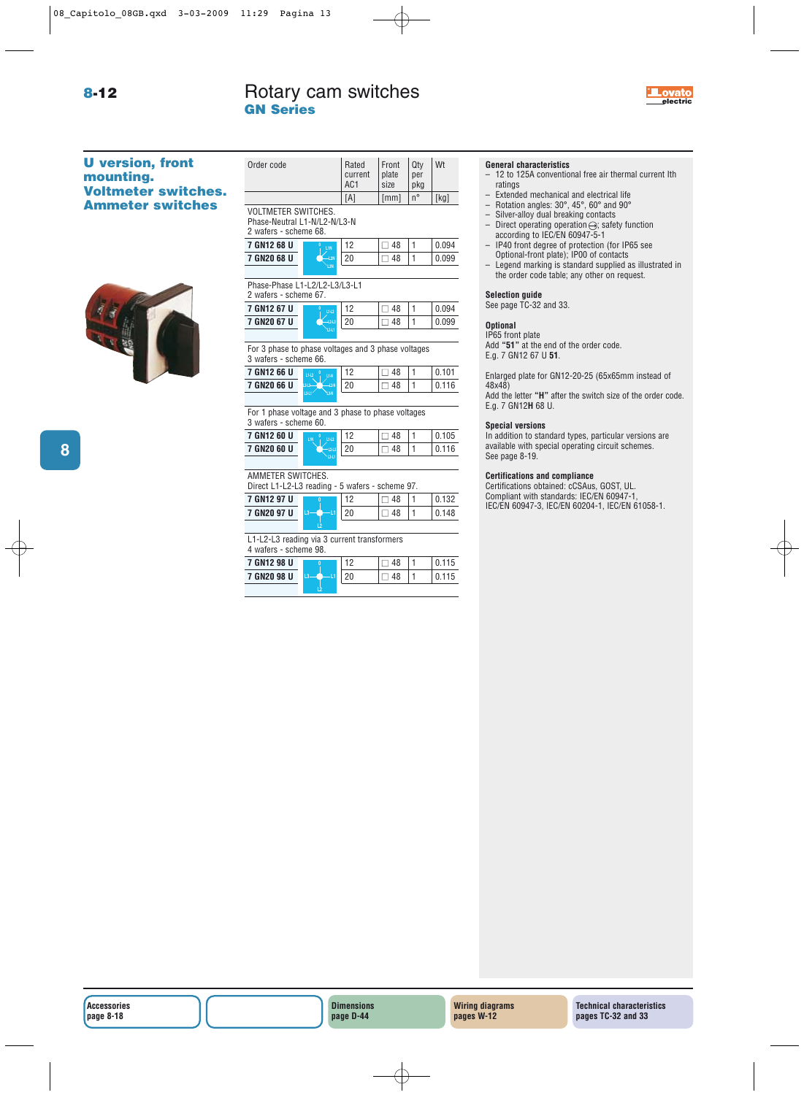Order code Rated Front Qty Wt<br>current plate per

current plate per  $\left| \begin{array}{cc} 2 \ 2 \end{array} \right|$  $\sqrt{\text{size}}$ 



# **U version, front mounting. Voltmeter switches. Ammeter switches**



|                                                                                     |                      |     |      | - 2         |                         |
|-------------------------------------------------------------------------------------|----------------------|-----|------|-------------|-------------------------|
|                                                                                     |                      | [A] | [mm] | $n^{\circ}$ | [kg]                    |
| <b>VOLTMETER SWITCHES.</b><br>Phase-Neutral L1-N/L2-N/L3-N<br>2 wafers - scheme 68. |                      |     |      |             |                         |
| 7 GN12 68 U                                                                         | L1N                  | 12  | 48   | 1           | 0.094                   |
| 7 GN20 68 U                                                                         | $-12N$<br><b>L3N</b> | 20  | 48   | 1           | 0.099                   |
| Phase-Phase L1-L2/L2-L3/L3-L1<br>2 wafers - scheme 67.                              |                      |     |      |             |                         |
| 7 GN12 67 U                                                                         | $L1-L2$              | 12  | 48   | 1           | 0.094                   |
| 7 GN20 67 U                                                                         | 1243                 | 20  | 48   | 1           | 0.099                   |
|                                                                                     | $3 - 1$              |     |      |             |                         |
| For 3 phase to phase voltages and 3 phase voltages<br>3 wafers - scheme 66.         |                      |     |      |             |                         |
| 7 GN12 66 U                                                                         | $L1-L2$<br>L1-N      | 12  | 48   | 1           | 0.101                   |
| 7 GN20 66 U                                                                         | $-12h$<br>$243-$     | 20  | 48   | 1           | 0.116                   |
|                                                                                     | 1341<br>28           |     |      |             |                         |
|                                                                                     |                      |     |      |             |                         |
| For 1 phase voltage and 3 phase to phase voltages<br>3 wafers - scheme 60.          |                      |     |      |             |                         |
| 7 GN12 60 U                                                                         | $L1-L2$<br>LIN       | 12  | 48   | 1           |                         |
| 7 GN20 60 U                                                                         | $-12-13$             | 20  | 48   | 1           |                         |
|                                                                                     | L3-L                 |     |      |             |                         |
|                                                                                     |                      |     |      |             |                         |
| AMMETER SWITCHES.<br>Direct L1-L2-L3 reading - 5 wafers - scheme 97.<br>7 GN12 97 U |                      | 12  | 48   | 1           | 0.105<br>0.116<br>0.132 |

L1-L2-L3 reading via 3 current transformers **L2**

**L2**

| 4 wafers - scheme 98. |  |  |  |     |  |  |
|-----------------------|--|--|--|-----|--|--|
|                       |  |  |  | 115 |  |  |
|                       |  |  |  | 15  |  |  |
|                       |  |  |  |     |  |  |

# **General characteristics**

- 12 to 125A conventional free air thermal current Ith ratings
- Extended mechanical and electrical life<br>– Rotation angles:  $30^\circ$  45° 60° and 90°
- Rotation angles: 30°, 45°, 60° and 90°
- Silver-alloy dual breaking contacts
- Direct operating operation $\ominus$ ; safety function according to IEC/EN 60947-5-1
- IP40 front degree of protection (for IP65 see Optional-front plate); IP00 of contacts
- Legend marking is standard supplied as illustrated in the order code table; any other on request.

### **Selection guide**

See page TC-32 and 33.

### **Optional**

IP65 front plate Add **"51"** at the end of the order code.

E.g. 7 GN12 67 U **51**.

Enlarged plate for GN12-20-25 (65x65mm instead of 48x48)

Add the letter **"H"** after the switch size of the order code. E.g. 7 GN12**H** 68 U.

### **Special versions**

In addition to standard types, particular versions are available with special operating circuit schemes. See page 8-19.

### **Certifications and compliance**

Certifications obtained: cCSAus, GOST, UL. Compliant with standards: IEC/EN 60947-1, IEC/EN 60947-3, IEC/EN 60204-1, IEC/EN 61058-1. **<sup>0</sup>**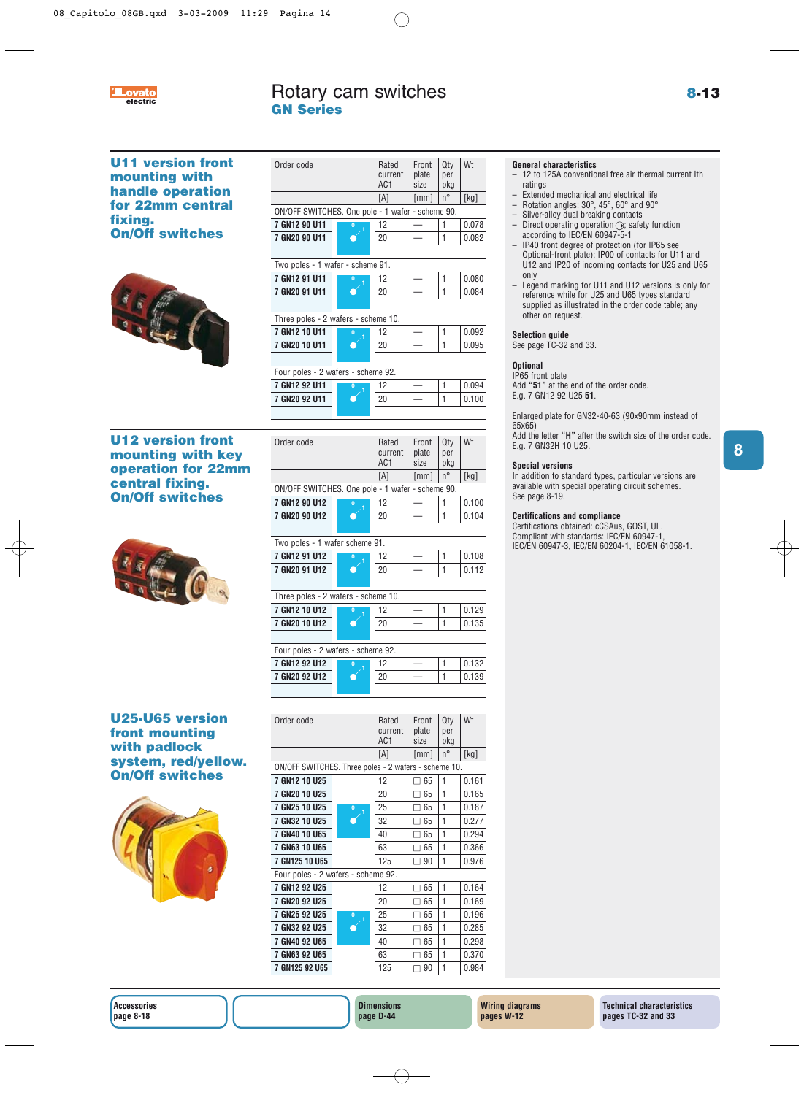

# Rotary cam switches **8-13 electric GN Series**

**8**

**U11 version front mounting with handle operation for 22mm central fixing. On/Off switches <sup>0</sup> <sup>1</sup>**



| Order code                                       |        | Rated<br>current<br>AC <sub>1</sub> | Front<br>plate<br>size | Qty<br>per<br>pkg | Wt    |
|--------------------------------------------------|--------|-------------------------------------|------------------------|-------------------|-------|
|                                                  |        | [A]                                 | [mm]                   | $n^{\circ}$       | [kg]  |
| ON/OFF SWITCHES. One pole - 1 wafer - scheme 90. |        |                                     |                        |                   |       |
| 7 GN12 90 U11                                    | 0<br>1 | 12                                  |                        | 1                 | 0.078 |
| 7 GN20 90 U11                                    |        | 20                                  |                        | 1                 | 0.082 |
|                                                  |        |                                     |                        |                   |       |
| Two poles - 1 wafer - scheme 91.                 |        |                                     |                        |                   |       |
| 7 GN12 91 U11                                    | 1      | 12                                  |                        | 1                 | 0.080 |
| 7 GN20 91 U11                                    |        | 20                                  |                        | 1                 | 0.084 |
|                                                  |        |                                     |                        |                   |       |
| Three poles - 2 wafers - scheme 10.              |        |                                     |                        |                   |       |
| 7 GN12 10 U11                                    | 1      | 12                                  |                        | $\mathbf{1}$      | 0.092 |
| 7 GN20 10 U11                                    |        | 20                                  |                        | 1                 | 0.095 |
|                                                  |        |                                     |                        |                   |       |
| Four poles - 2 wafers - scheme 92.               |        |                                     |                        |                   |       |
| 7 GN12 92 U11                                    | 1      | 12                                  |                        | 1                 | 0.094 |
| 7 GN20 92 U11                                    |        | 20                                  |                        | 1                 | 0.100 |
|                                                  |        |                                     |                        |                   |       |
|                                                  |        |                                     |                        |                   |       |
|                                                  |        |                                     |                        |                   |       |

# **U12 version front mounting with key operation for 22mm central fixing. On/Off switches <sup>0</sup> <sup>1</sup>**



| Order code                                       |               | Rated<br>current<br>AC <sub>1</sub> | Front<br>plate<br>size | Qty<br>per<br>pkg | Wt          |       |  |
|--------------------------------------------------|---------------|-------------------------------------|------------------------|-------------------|-------------|-------|--|
|                                                  |               |                                     | [A]                    | [mm]              | $n^{\circ}$ | [kg]  |  |
| ON/OFF SWITCHES. One pole - 1 wafer - scheme 90. |               |                                     |                        |                   |             |       |  |
|                                                  | 7 GN12 90 U12 | $\Omega$                            | 12                     |                   |             | 0.100 |  |
|                                                  | 7 GN20 90 U12 |                                     | 20                     |                   |             | 0.104 |  |
|                                                  |               |                                     |                        |                   |             |       |  |

# Two poles - 1 wafer scheme 91.

| 7 GN12 91 U12 |  | 10 |  | 08 |
|---------------|--|----|--|----|
| 7 GN20 91 U12 |  |    |  | 12 |
|               |  |    |  |    |

| Three poles - 2 wafers - scheme 10. |  |  |  |  |       |  |  |
|-------------------------------------|--|--|--|--|-------|--|--|
| 7 GN12 10 U12                       |  |  |  |  | 0.129 |  |  |
| 7 GN20 10 U12                       |  |  |  |  | 0.135 |  |  |
|                                     |  |  |  |  |       |  |  |

| Four poles - 2 wafers - scheme 92. |  |    |  |  |       |  |  |
|------------------------------------|--|----|--|--|-------|--|--|
| 7 GN12 92 U12                      |  |    |  |  | 0.132 |  |  |
| 7 GN20 92 U12                      |  | 20 |  |  | 0.139 |  |  |
|                                    |  |    |  |  |       |  |  |

# **U25-U65 version front mounting with padlock system, red/yellow. On/Off switches**



| Order code                                           |        | Rated<br>current<br>AC <sub>1</sub> | Front<br>plate<br>size | Qty<br>per<br>pkg | Wt    |
|------------------------------------------------------|--------|-------------------------------------|------------------------|-------------------|-------|
|                                                      |        | [A]                                 | [mm]                   | n°                | [kg]  |
| ON/OFF SWITCHES. Three poles - 2 wafers - scheme 10. |        |                                     |                        |                   |       |
| <b>7 GN12 10 U25</b>                                 |        | 12                                  | 65                     | 1                 | 0.161 |
| 7 GN20 10 U25                                        | 1      | 20                                  | 65<br>$\mathbf{I}$     | 1                 | 0.165 |
| <b>7 GN25 10 U25</b>                                 |        | 25                                  | 65                     | 1                 | 0.187 |
| <b>7 GN32 10 U25</b>                                 |        | 32                                  | 65                     | 1                 | 0.277 |
| <b>7 GN40 10 U65</b>                                 |        | 40                                  | 65                     | 1                 | 0.294 |
| <b>7 GN63 10 U65</b>                                 |        | 63                                  | 65                     | 1                 | 0.366 |
| <b>7 GN125 10 U65</b>                                |        | 125                                 | 90                     | 1                 | 0.976 |
| Four poles - 2 wafers - scheme 92.                   |        |                                     |                        |                   |       |
| 7 GN12 92 U25                                        |        | 12                                  | 65                     | 1                 | 0.164 |
| 7 GN20 92 U25                                        |        | 20                                  | 65                     | 1                 | 0.169 |
| <b>7 GN25 92 U25</b>                                 | 0<br>1 | 25                                  | 65                     | 1                 | 0.196 |
| <b>7 GN32 92 U25</b>                                 |        | 32                                  | 65                     | 1                 | 0.285 |
| 7 GN40 92 U65                                        |        | 40                                  | 65                     | 1                 | 0.298 |
| <b>7 GN63 92 U65</b>                                 |        | 63                                  | $\Box$ 65              | 1                 | 0.370 |
| 7 GN125 92 U65                                       |        | 125                                 | 90                     | 1                 | 0.984 |

# **General characteristics**

- 12 to 125A conventional free air thermal current Ith ratings
- Extended mechanical and electrical life<br>– Botation angles:  $30^\circ$ ,  $45^\circ$ , 60° and 90°
- Rotation angles: 30°, 45°, 60° and 90°
- Silver-alloy dual breaking contacts<br>– Direct operating operation  $\ominus$  safe Direct operating operation  $\ominus$ ; safety function
- according to IEC/EN 60947-5-1 – IP40 front degree of protection (for IP65 see Optional-front plate); IP00 of contacts for U11 and U12 and IP20 of incoming contacts for U25 and U65 only
- Legend marking for U11 and U12 versions is only for reference while for U25 and U65 types standard supplied as illustrated in the order code table; any other on request.

# **Selection guide**

See page TC-32 and 33.

# **Optional**

IP65 front plate Add **"51"** at the end of the order code.

E.g. 7 GN12 92 U25 **51**. Enlarged plate for GN32-40-63 (90x90mm instead of

65x65)

Add the letter **"H"** after the switch size of the order code. E.g. 7 GN32**H** 10 U25.

### **Special versions**

In addition to standard types, particular versions are available with special operating circuit schemes. See page 8-19.

# **Certifications and compliance**

Certifications obtained: cCSAus, GOST, UL. Compliant with standards: IEC/EN 60947-1, IEC/EN 60947-3, IEC/EN 60204-1, IEC/EN 61058-1.

**Dimensions page D-44**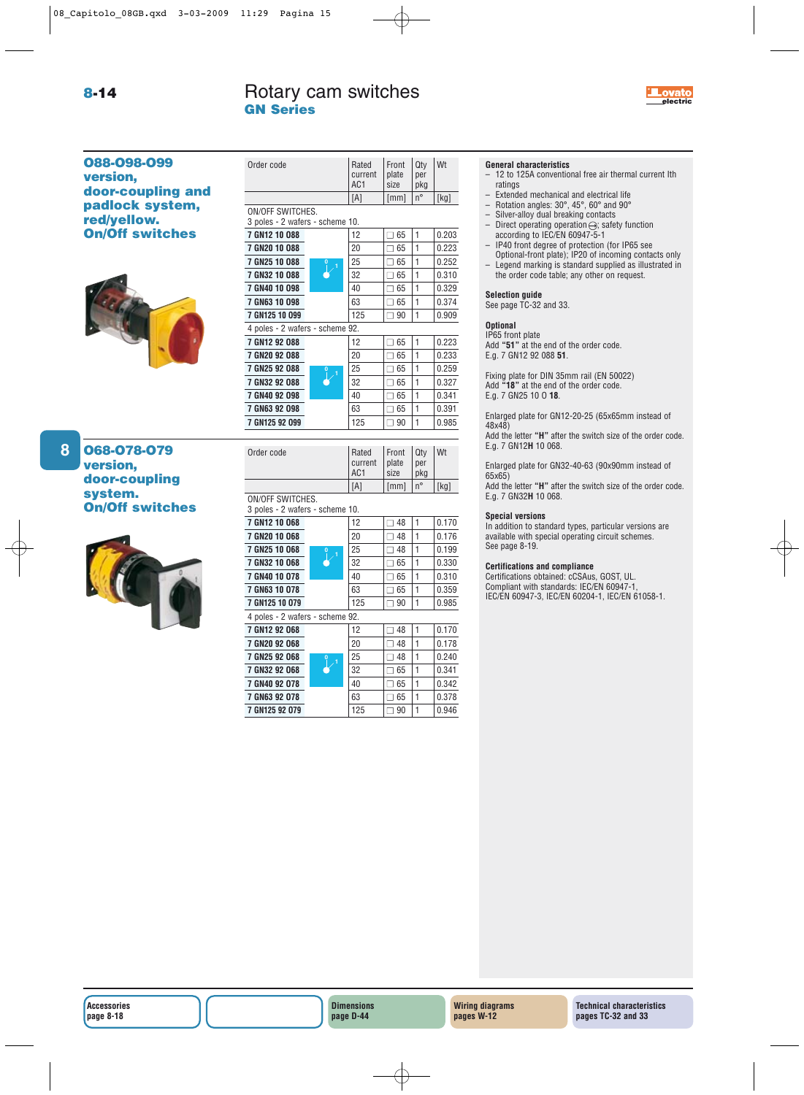Order code Rated Front Qty Wt



**O88-O98-O99 version, door-coupling and padlock system, red/yellow. On/Off switches**



# **O68-O78-O79 version, door-coupling system. On/Off switches**

**8**

|                                                  | current<br>AC <sub>1</sub> | plate<br>size          | per<br>pkg        |                |
|--------------------------------------------------|----------------------------|------------------------|-------------------|----------------|
|                                                  | [A]                        | [mm]                   | n°                | [kg]           |
| ON/OFF SWITCHES.                                 |                            |                        |                   |                |
| 3 poles - 2 wafers - scheme 10.                  |                            |                        |                   |                |
| 7 GN12 10 088                                    | 12                         | $\square$ 65           | $\mathbf{1}$      | 0.203          |
| 7 GN20 10 088                                    | 20                         | $\square$ 65           | 1                 | 0.223          |
| 7 GN25 10 088                                    | 25                         | $\square$ 65           | 1                 | 0.252          |
| 7 GN32 10 088                                    | 32                         | $\Box$ 65              | 1                 | 0.310          |
| 7 GN40 10 098                                    | 40                         | $\Box$ 65              | 1                 | 0.329          |
| 7 GN63 10 098                                    | 63                         | $\square$ 65           | $\mathbf{1}$      | 0.374          |
| 7 GN125 10 099                                   | 125                        | $\Box$ 90              | 1                 | 0.909          |
| 4 poles - 2 wafers - scheme 92.                  |                            |                        |                   |                |
| 7 GN12 92 088                                    | 12                         | $\square$ 65           | 1                 | 0.223          |
| 7 GN20 92 088                                    | 20                         | $\square$ 65           | 1                 | 0.233          |
| 7 GN25 92 088                                    | 25                         | $\square$ 65           | 1                 | 0.259          |
| 7 GN32 92 088                                    | 32                         | $\Box$ 65              | 1                 | 0.327          |
| 7 GN40 92 098                                    | 40                         | $\square$ 65           | 1                 | 0.341          |
| 7 GN63 92 098                                    | 63                         | $\square$ 65           | 1                 | 0.391          |
| 7 GN125 92 099                                   | 125                        | $\Box$ 90              | 1                 | 0.985          |
|                                                  |                            |                        |                   |                |
|                                                  |                            |                        |                   |                |
| Order code                                       | Rated<br>current<br>AC1    | Front<br>plate<br>size | Qty<br>per<br>pkg | Wt             |
|                                                  | [A]                        | [mm]                   | n°                | [kg]           |
| ON/OFF SWITCHES.                                 |                            |                        |                   |                |
| 3 poles - 2 wafers - scheme 10.<br>7 GN12 10 068 | 12                         | $\square$ 48           | 1                 | 0.170          |
|                                                  | 20                         | $\square$ 48           | 1                 | 0.176          |
| 7 GN20 10 068<br>7 GN25 10 068                   | 25                         | $\Box$ 48              | 1                 | 0.199          |
| 7 GN32 10 068                                    | 32                         | $\square$ 65           | 1                 | 0.330          |
| 7 GN40 10 078                                    | 40                         | $\square$ 65           | 1                 | 0.310          |
| 7 GN63 10 078                                    | 63                         | $\square$ 65           | 1                 |                |
| 7 GN125 10 079                                   | 125                        | $\Box$ 90              | 1                 | 0.359<br>0.985 |
| 4 poles - 2 wafers - scheme 92.                  |                            |                        |                   |                |
| 7 GN12 92 068                                    | 12                         | $\square$ 48           | 1                 | 0.170          |
| 7 GN20 92 068                                    | 20                         | $\Box$ 48              | $\mathbf{1}$      | 0.178          |
| 7 GN25 92 068                                    | 25                         | $\Box$ 48              | 1                 | 0.240          |
| 7 GN32 92 068                                    | 32                         | $\square$ 65           | 1                 | 0.341          |
| 7 GN40 92 078                                    | 40                         | $\square$ 65           | 1                 | 0.342          |
| 7 GN63 92 078                                    | 63                         | $\square$ 65           | 1                 | 0.378          |

# **General characteristics**

- 12 to 125A conventional free air thermal current Ith ratings
- Extended mechanical and electrical life<br>– Botation angles:  $30^\circ$ ,  $45^\circ$ ,  $60^\circ$  and  $90^\circ$
- Rotation angles:  $30^{\circ}$ ,  $45^{\circ}$ ,  $60^{\circ}$  and  $90^{\circ}$ <br>– Silver-alloy dual breaking contacts<br>– Direct operating operation  $\ominus$ : safety fu
- Silver-alloy dual breaking contacts
- Direct operating operation  $\ominus$ ; safety function according to IEC/EN 60947-5-1
- IP40 front degree of protection (for IP65 see Optional-front plate); IP20 of incoming contacts only
- Legend marking is standard supplied as illustrated in the order code table; any other on request.

### **Selection guide**

See page TC-32 and 33.

### **Optional**

IP65 front plate Add **"51"** at the end of the order code. E.g. 7 GN12 92 088 **51**.

Fixing plate for DIN 35mm rail (EN 50022) Add **"18"** at the end of the order code. E.g. 7 GN25 10 O **18**.

Enlarged plate for GN12-20-25 (65x65mm instead of 48x48)

Add the letter **"H"** after the switch size of the order code. E.g. 7 GN12**H** 10 068.

Enlarged plate for GN32-40-63 (90x90mm instead of 65x65)

Add the letter **"H"** after the switch size of the order code. E.g. 7 GN32**H** 10 068.

### **Special versions**

In addition to standard types, particular versions are available with special operating circuit schemes. See page 8-19.

### **Certifications and compliance**

Certifications obtained: cCSAus, GOST, UL. Compliant with standards: IEC/EN 60947-1, IEC/EN 60947-3, IEC/EN 60204-1, IEC/EN 61058-1.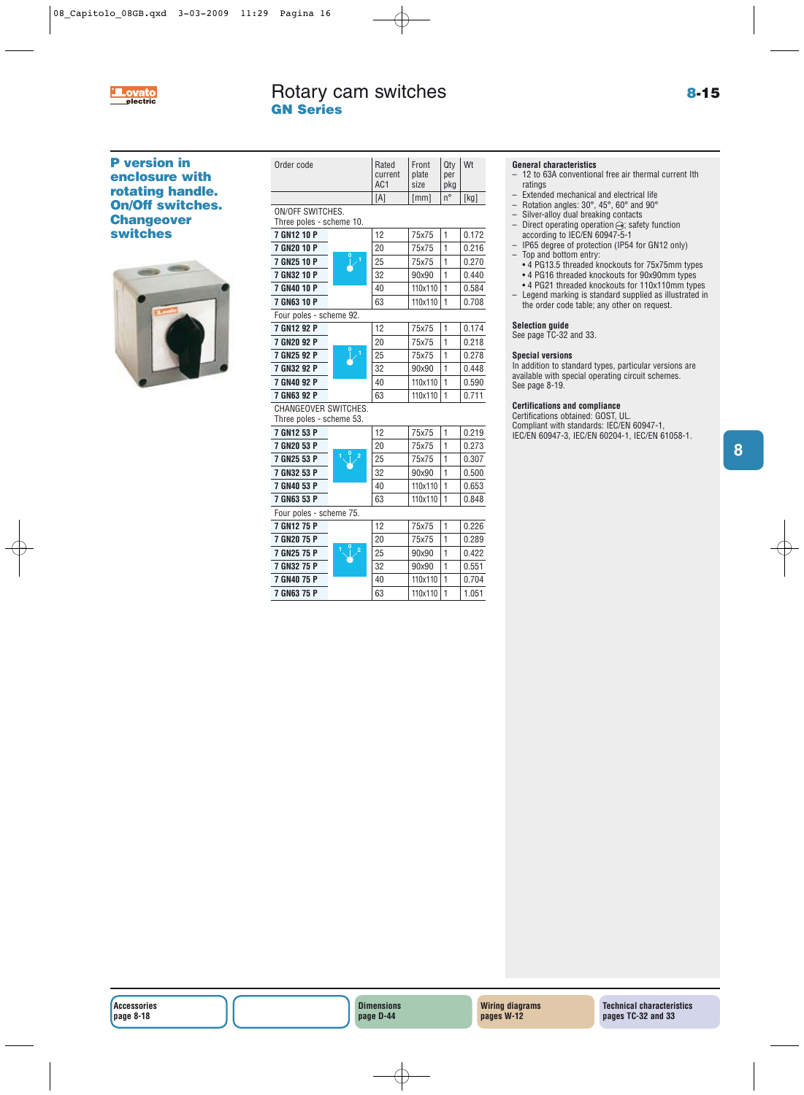

# Rotary cam switches **8-15 electric GN Series**

# **P version in enclosure with rotating handle. On/Off switches. Changeover switches**



| Order code               | Rated<br>current<br>AC <sub>1</sub> | Front<br>plate<br>size | Qtv<br>per<br>pkg | Wt   |
|--------------------------|-------------------------------------|------------------------|-------------------|------|
|                          | ſА                                  | [mm]                   |                   | [kg] |
| <b>ONLIGEE OWNERLIES</b> |                                     |                        |                   |      |

### ON/OFF SWITCHES. Three poles - scheme 10.

| 7 GN12 10 P |          | 12 | 75x75   | 0.172 |
|-------------|----------|----|---------|-------|
| 7 GN20 10 P | $\bf{0}$ | 20 | 75x75   | 0.216 |
| 7 GN25 10 P |          | 25 | 75x75   | 0.270 |
| 7 GN32 10 P |          | 32 | 90x90   | 0.440 |
| 7 GN40 10 P |          | 40 | 110x110 | 0.584 |
| 7 GN63 10 P |          | 63 | 110x110 | 0.708 |
|             |          |    |         |       |

| Four poles - scheme 92. |                |    |       |       |
|-------------------------|----------------|----|-------|-------|
| 7 GN12 92 P             |                | 12 | 75x75 | 0.174 |
| 7 GN20 92 P             | $\overline{0}$ | 20 | 75x75 | 0.218 |
| 7 GN25 92 P             |                | 25 | 75x75 | 0.278 |
| 7 GN32 92 P             |                | 32 | 90×90 | 0.448 |
|                         |                |    |       |       |

# **7 GN32 92 P 32 90x90 1 0.448 7 GN40 92 P 110x110 1** 0.590 **7 GN63 92 P** 63 110x110 1 0.711

CHANGEOVER SWITCHES. Three poles - scheme 53.

| iiiivu puluu vulluu uu. |                     |    |         |   |       |
|-------------------------|---------------------|----|---------|---|-------|
| 7 GN12 53 P             |                     | 12 | 75x75   | 1 | 0.219 |
| 7 GN20 53 P             |                     | 20 | 75x75   | 1 | 0.273 |
| 7 GN25 53 P             | ₽<br>$\overline{2}$ | 25 | 75x75   | 1 | 0.307 |
| 7 GN32 53 P             |                     | 32 | 90x90   | 1 | 0.500 |
| 7 GN40 53 P             |                     | 40 | 110x110 | 1 | 0.653 |
| 7 GN63 53 P             |                     | 63 | 110x110 | 1 | 0.848 |
| Four poles - scheme 75. |                     |    |         |   |       |
| 7 GN12 75 P             |                     | 12 | 75x75   | 1 | 0.226 |
| 7 GN20 75 P             |                     | 20 | 75x75   | 1 | 0.289 |
| 7 GN25 75 P             | $\overline{2}$      | 25 | 90x90   | 1 | 0.422 |
| 7 GN32 75 P             |                     | 32 | 90x90   | 1 | 0.551 |
| 7 GN40 75 P             |                     | 40 | 110x110 | 1 | 0.704 |
| 7 GN63 75 P             |                     | 63 | 110x110 | 1 | 1.051 |
|                         |                     |    |         |   |       |

# **General characteristics**

- 12 to 63A conventional free air thermal current Ith ratings
- Extended mechanical and electrical life<br>– Botation angles:  $30^\circ$ ,  $45^\circ$ , 60° and 90°
- Rotation angles: 30°, 45°, 60° and 90°
- Silver-alloy dual breaking contacts<br>– Direct operating operation  $\ominus$ : safe
- Direct operating operation  $\ominus$ ; safety function according to IEC/EN 60947-5-1
- IP65 degree of protection (IP54 for GN12 only) – Top and bottom entry:
- 4 PG13.5 threaded knockouts for 75x75mm types • 4 PG16 threaded knockouts for 90x90mm types
- 4 PG21 threaded knockouts for 110x110mm types – Legend marking is standard supplied as illustrated in
- the order code table; any other on request.

# **Selection guide**

See page TC-32 and 33.

# **Special versions**

In addition to standard types, particular versions are available with special operating circuit schemes. See page 8-19.

# **Certifications and compliance**

Certifications obtained: GOST, UL. Compliant with standards: IEC/EN 60947-1, IEC/EN 60947-3, IEC/EN 60204-1, IEC/EN 61058-1.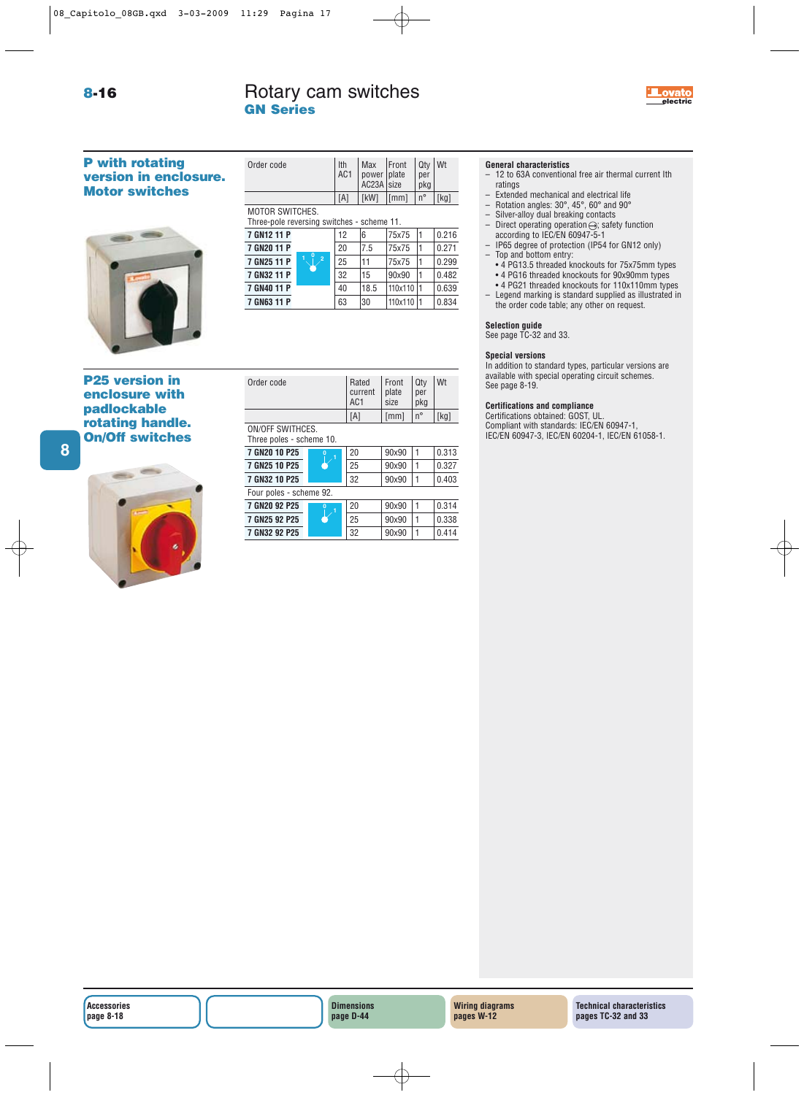# Rotary cam switches **Exercise Exercise Contracts Exercise electric GN Series**



# **P with rotating version in enclosure. Motor switches**



# **P25 version in enclosure with padlockable rotating handle. On/Off switches**



| Order code                                                           | Ith<br>AC1 | Max   Front<br>power plate<br>AC23A size |                | Qtv<br>per<br>pkg | Wt   |  |  |
|----------------------------------------------------------------------|------------|------------------------------------------|----------------|-------------------|------|--|--|
|                                                                      | [A]        | [kW]                                     | $\lfloor$ [mm] | $n^{\circ}$       | [kg] |  |  |
| <b>MOTOR SWITCHES.</b><br>Three-pole reversing switches - scheme 11. |            |                                          |                |                   |      |  |  |
|                                                                      |            |                                          |                |                   |      |  |  |

| 7 GN12 11 P |                     | 12 | 6    | 75x75     | 0.216 |
|-------------|---------------------|----|------|-----------|-------|
| 7 GN20 11 P |                     | 20 | 7.5  | 75x75     | 0.271 |
| 7 GN25 11 P | 0<br>$\overline{2}$ | 25 | 11   | 75x75     | 0.299 |
| 7 GN32 11 P |                     | 32 | 15   | 90x90     | 0.482 |
| 7 GN40 11 P |                     | 40 | 18.5 | 110x110 1 | 0.639 |
| 7 GN63 11 P |                     | 63 | 30   | 110x110 1 | 0.834 |

| Order code | Rated<br>current<br>AC <sub>1</sub> | Front<br>plate<br>size | Qtv<br>per<br>pkg | Wt   |
|------------|-------------------------------------|------------------------|-------------------|------|
|            |                                     | [mm]                   | $n^{\circ}$       | 「kg] |

ON/OFF SWITHCES.

| Three poles - scheme 10. |          |    |       |  |       |  |
|--------------------------|----------|----|-------|--|-------|--|
| 7 GN20 10 P25            |          | 20 | 90×90 |  | 0.313 |  |
| 7 GN25 10 P25            |          | 25 | 90×90 |  | 0.327 |  |
| 7 GN32 10 P25            |          | 32 | 90×90 |  | 0.403 |  |
| Four poles - scheme 92.  |          |    |       |  |       |  |
| 7 GN20 92 P25            | $\Omega$ | 20 | 90×90 |  | 0.314 |  |
| 7 GN25 92 P25            |          | 25 | 90×90 |  | 0.338 |  |
| 7 GN32 92 P25            |          | 32 | 90×90 |  | 0.414 |  |

# **General characteristics**

- 12 to 63A conventional free air thermal current Ith ratings
- Extended mechanical and electrical life
- Rotation angles: 30°, 45°, 60° and 90°
- Silver-alloy dual breaking contacts
- Direct operating operation $\ominus$ ; safety function according to IEC/EN 60947-5-1
- IP65 degree of protection (IP54 for GN12 only) – Top and bottom entry:
	- 4 PG13.5 threaded knockouts for 75x75mm types
	- 4 PG16 threaded knockouts for 90x90mm types
- 4 PG21 threaded knockouts for 110x110mm types – Legend marking is standard supplied as illustrated in the order code table; any other on request.

# **Selection guide**

# See page TC-32 and 33.

# **Special versions**

In addition to standard types, particular versions are available with special operating circuit schemes. See page 8-19.

# **Certifications and compliance**

Certifications obtained: GOST, UL. Compliant with standards: IEC/EN 60947-1, IEC/EN 60947-3, IEC/EN 60204-1, IEC/EN 61058-1.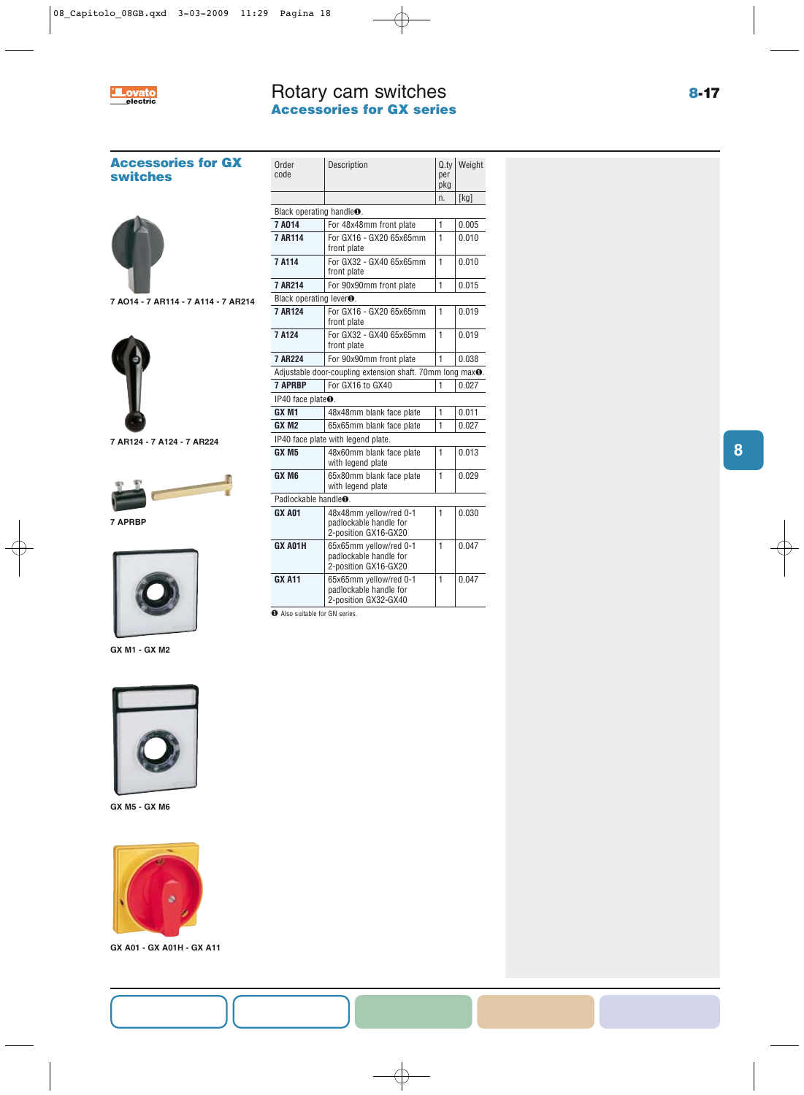

# Rotary cam switches **Accessories for GX series**

**Accessories for GX switches**



**7 AO14 - 7 AR114 - 7 A114 - 7 AR214**



**7 AR124 - 7 A124 - 7 AR224**



**7 APRBP**



**GX M1 - GX M2**



**GX M5 - GX M6**



**GX A01 - GX A01H - GX A11**

| Order<br>code                        | Description                                                              | Q.tv<br>per<br>pkg | Weight |
|--------------------------------------|--------------------------------------------------------------------------|--------------------|--------|
|                                      |                                                                          | n.                 | [kg]   |
|                                      | Black operating handle <sup>o</sup> .                                    |                    |        |
| 7A014                                | For 48x48mm front plate                                                  | 1                  | 0.005  |
| 7 AR114                              | For GX16 - GX20 65x65mm<br>front plate                                   | $\mathbf{1}$       | 0.010  |
| 7 A114                               | For GX32 - GX40 65x65mm<br>front plate                                   | 1                  | 0.010  |
| 7 AR214                              | For 90x90mm front plate                                                  | 1                  | 0.015  |
| Black operating lever <sup>O</sup> . |                                                                          |                    |        |
| 7 AR124                              | For GX16 - GX20 65x65mm<br>front plate                                   | 1                  | 0.019  |
| 7 A124                               | For GX32 - GX40 65x65mm<br>front plate                                   | 1                  | 0.019  |
| 7 AR224                              | For 90x90mm front plate                                                  | 1                  | 0.038  |
|                                      | Adjustable door-coupling extension shaft. 70mm long max <sup>o</sup> .   |                    |        |
| <b>7 APRBP</b>                       | For GX16 to GX40                                                         | 1                  | 0.027  |
| IP40 face plate <sup>O</sup> .       |                                                                          |                    |        |
| GX <sub>M1</sub>                     | 48x48mm blank face plate                                                 | 1                  | 0.011  |
| GX M <sub>2</sub>                    | 65x65mm blank face plate                                                 | 1                  | 0.027  |
|                                      | IP40 face plate with legend plate.                                       |                    |        |
| GX M5                                | 48x60mm blank face plate<br>with legend plate                            | 1                  | 0.013  |
| GX M6                                | 65x80mm blank face plate<br>with legend plate                            | 1                  | 0.029  |
| Padlockable handle <sup>O</sup> .    |                                                                          |                    |        |
| <b>GX A01</b>                        | 48x48mm yellow/red 0-1<br>padlockable handle for<br>2-position GX16-GX20 | 1                  | 0.030  |
| GX A01H                              | 65x65mm yellow/red 0-1<br>padlockable handle for<br>2-position GX16-GX20 | 1                  | 0.047  |
| <b>GX A11</b>                        | 65x65mm yellow/red 0-1<br>padlockable handle for<br>2-position GX32-GX40 | $\mathbf{1}$       | 0.047  |

❶ Also suitable for GN series.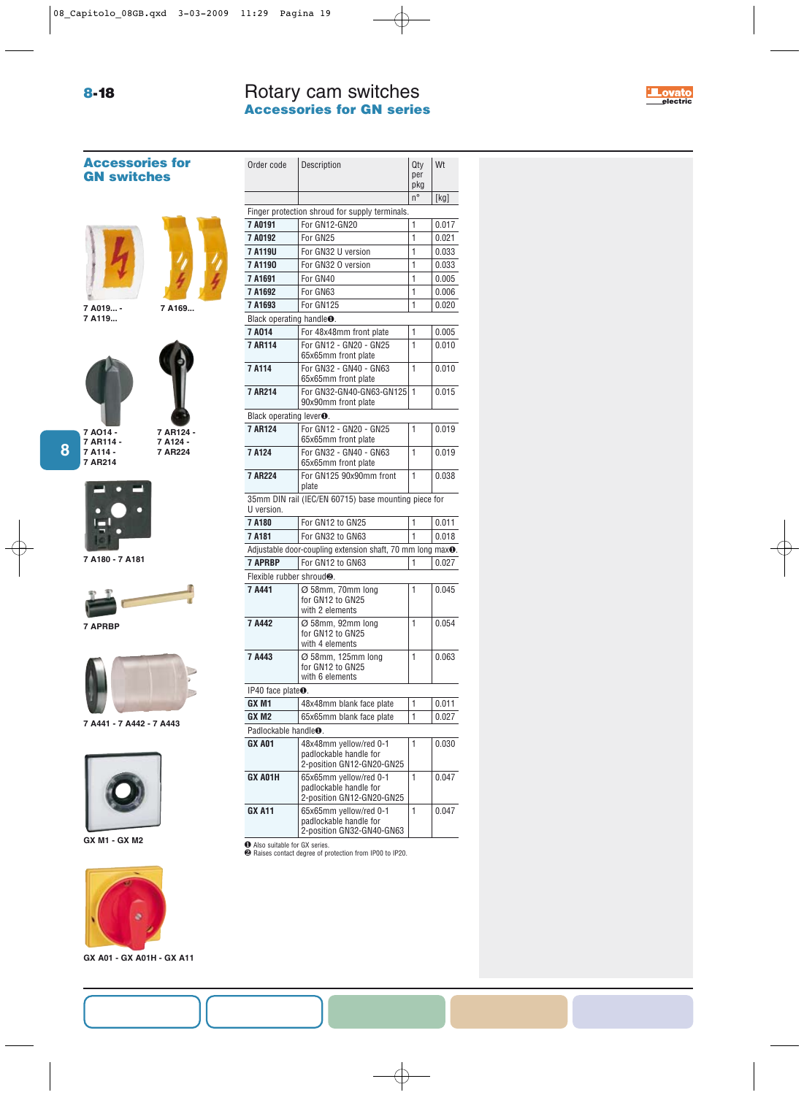# Rotary cam switches **Accessories for GN series 8-18 electric electric electric electric electric electric electric electric**

Order code Description and Qty Wt

| Qty<br>| per pkg

|                                       |                                                                               | n° | [kg]  |  |
|---------------------------------------|-------------------------------------------------------------------------------|----|-------|--|
|                                       | Finger protection shroud for supply terminals.                                |    |       |  |
| 7 A0191                               | For GN12-GN20                                                                 | 1  | 0.017 |  |
| 7 A0192                               | For GN25                                                                      | 1  | 0.021 |  |
| 7 A119U                               | For GN32 U version                                                            | 1  | 0.033 |  |
| 7A1190                                | For GN32 O version                                                            | 1  | 0.033 |  |
| 7A1691                                | For GN40                                                                      | 1  | 0.005 |  |
| 7A1692                                | For GN63                                                                      | 1  | 0.006 |  |
| 7A1693                                | For GN125                                                                     | 1  | 0.020 |  |
| Black operating handle <sup>o</sup> . |                                                                               |    |       |  |
| 7A014                                 | For 48x48mm front plate                                                       | 1  | 0.005 |  |
| <b>7 AR114</b>                        | For GN12 - GN20 - GN25                                                        | 1  | 0.010 |  |
| 7 A114                                | 65x65mm front plate                                                           | 1  |       |  |
|                                       | For GN32 - GN40 - GN63<br>65x65mm front plate                                 |    | 0.010 |  |
| 7 AR214                               | For GN32-GN40-GN63-GN125<br>90x90mm front plate                               | 1  | 0.015 |  |
| Black operating lever <sup>O</sup> .  |                                                                               |    |       |  |
| <b>7 AR124</b>                        | For GN12 - GN20 - GN25<br>65x65mm front plate                                 | 1  | 0.019 |  |
| 7 A124                                | For GN32 - GN40 - GN63<br>65x65mm front plate                                 | 1  | 0.019 |  |
| <b>7 AR224</b>                        | For GN125 90x90mm front<br>plate                                              | 1  | 0.038 |  |
| U version.                            | 35mm DIN rail (IEC/EN 60715) base mounting piece for                          |    |       |  |
| 7A180                                 | For GN12 to GN25                                                              | 1  | 0.011 |  |
| 7A181                                 | For GN32 to GN63                                                              | 1  | 0.018 |  |
|                                       | Adjustable door-coupling extension shaft, 70 mm long max <sup>o</sup> .       |    |       |  |
| <b>7 APRBP</b>                        | For GN12 to GN63                                                              | 1  | 0.027 |  |
| Flexible rubber shroud <sup>®</sup> . |                                                                               |    |       |  |
| 7 A441                                |                                                                               | 1  | 0.045 |  |
|                                       | Ø 58mm, 70mm long<br>for GN12 to GN25<br>with 2 elements                      |    |       |  |
| 7 A442                                | Ø 58mm, 92mm long<br>for GN12 to GN25<br>with 4 elements                      | 1  | 0.054 |  |
| 7 A443                                | Ø 58mm, 125mm long<br>for GN12 to GN25<br>with 6 elements                     | 1  | 0.063 |  |
| IP40 face plate $\bullet$ .           |                                                                               |    |       |  |
| GX <sub>M1</sub>                      | 48x48mm blank face plate                                                      | 1  | 0.011 |  |
| GX M2                                 | 65x65mm blank face plate                                                      | 1  | 0.027 |  |
| Padlockable handle <sup>O</sup> .     |                                                                               |    |       |  |
| GX A01                                | 48x48mm yellow/red 0-1<br>padlockable handle for<br>2-position GN12-GN20-GN25 | 1  | 0.030 |  |
| GX A01H                               | 65x65mm yellow/red 0-1<br>padlockable handle for<br>2-position GN12-GN20-GN25 | 1  | 0.047 |  |
| <b>GX A11</b>                         | 65x65mm yellow/red 0-1<br>padlockable handle for<br>2-position GN32-GN40-GN63 | 1  | 0.047 |  |
| Also suitable for GX series.          | <sup>2</sup> Raises contact degree of protection from IP00 to IP20.           |    |       |  |

# **Accessories for GN switches**





**7 A019... - 7 A119...**



**8**

**7 AR114 - 7 A114 - 7 AR214 7 AR124 - 7 A124 - 7 AR224**



**7 A180 - 7 A181**



**7 APRBP**



**7 A441 - 7 A442 - 7 A443**



**GX M1 - GX M2**



**GX A01 - GX A01H - GX A11**